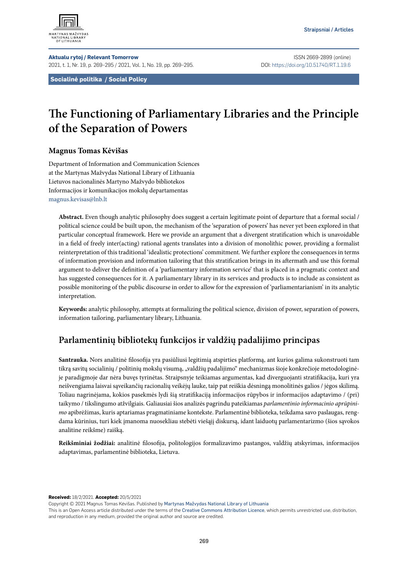

**Aktualu rytoj / Relevant Tomorrow** ISSN 2669-2899 (online) 2021, t. 1, Nr. 19, p. 269–295 / 2021, Vol. 1, No. 19, pp. 269–295. DOI: <https://doi.org/10.51740/RT.1.19.6>

**Socialinė politika / Social Policy**

# **The Functioning of Parliamentary Libraries and the Principle of the Separation of Powers**

#### **Magnus Tomas Kėvišas**

Department of Information and Communication Sciences at the Martynas Mažvydas National Library of Lithuania Lietuvos nacionalinės Martyno Mažvydo bibliotekos Informacijos ir komunikacijos mokslų departamentas [magnus.kevisas@lnb.lt](mailto:magnus.kevisas@lnb.lt)

**Abstract.** Even though analytic philosophy does suggest a certain legitimate point of departure that a formal social / political science could be built upon, the mechanism of the 'separation of powers' has never yet been explored in that particular conceptual framework. Here we provide an argument that a divergent stratification which is unavoidable in a field of freely inter(acting) rational agents translates into a division of monolithic power, providing a formalist reinterpretation of this traditional 'idealistic protections' commitment. We further explore the consequences in terms of information provision and information tailoring that this stratification brings in its aftermath and use this formal argument to deliver the definition of a 'parliamentary information service' that is placed in a pragmatic context and has suggested consequences for it. A parliamentary library in its services and products is to include as consistent as possible monitoring of the public discourse in order to allow for the expression of 'parliamentarianism' in its analytic interpretation.

**Keywords:** analytic philosophy, attempts at formalizing the political science, division of power, separation of powers, information tailoring, parliamentary library, Lithuania.

## **Parlamentinių bibliotekų funkcijos ir valdžių padalijimo principas**

**Santrauka.** Nors analitinė filosofija yra pasiūliusi legitimią atspirties platformą, ant kurios galima sukonstruoti tam tikrą savitų socialinių / politinių mokslų visumą, "valdžių padalijimo" mechanizmas šioje konkrečioje metodologinėje paradigmoje dar nėra buvęs tyrinėtas. Straipsnyje teikiamas argumentas, kad diverguojanti stratifikacija, kuri yra neišvengiama laisvai sąveikančių racionalių veikėjų lauke, taip pat reiškia dėsningą monolitinės galios / jėgos skilimą. Toliau nagrinėjama, kokios pasekmės lydi šią stratifikaciją informacijos rūpybos ir informacijos adaptavimo / (pri) taikymo / tikslingumo atžvilgiais. Galiausiai šios analizės pagrindu pateikiamas *parlamentinio informacinio aprūpinimo* apibrėžimas, kuris aptariamas pragmatiniame kontekste. Parlamentinė biblioteka, teikdama savo paslaugas, rengdama kūrinius, turi kiek įmanoma nuosekliau stebėti viešąjį diskursą, idant laiduotų parlamentarizmo (šios sąvokos analitine reikšme) raišką.

**Reikšminiai žodžiai:** analitinė filosofija, politologijos formalizavimo pastangos, valdžių atskyrimas, informacijos adaptavimas, parlamentinė biblioteka, Lietuva.

**Received:** 18/2/2021. **Accepted:** 20/5/2021

Copyright © 2021 Magnus Tomas Kėvišas. Published by [Martynas Mažvydas National Library of Lithuania](https://www.lnb.lt/istekliai/leidiniai/mokslo-leidiniai)

This is an Open Access article distributed under the terms of the [Creative Commons Attribution Licence](https://creativecommons.org/licenses/by/4.0/), which permits unrestricted use, distribution, and reproduction in any medium, provided the original author and source are credited.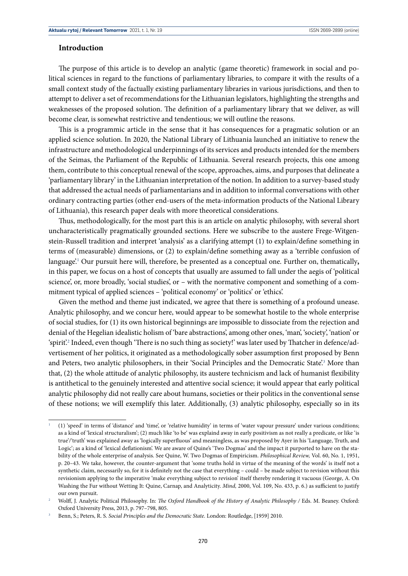#### **Introduction**

The purpose of this article is to develop an analytic (game theoretic) framework in social and political sciences in regard to the functions of parliamentary libraries, to compare it with the results of a small context study of the factually existing parliamentary libraries in various jurisdictions, and then to attempt to deliver a set of recommendations for the Lithuanian legislators, highlighting the strengths and weaknesses of the proposed solution. The definition of a parliamentary library that we deliver, as will become clear, is somewhat restrictive and tendentious; we will outline the reasons.

This is a programmic article in the sense that it has consequences for a pragmatic solution or an applied science solution. In 2020, the National Library of Lithuania launched an initiative to renew the infrastructure and methodological underpinnings of its services and products intended for the members of the Seimas, the Parliament of the Republic of Lithuania. Several research projects, this one among them, contribute to this conceptual renewal of the scope, approaches, aims, and purposes that delineate a 'parliamentary library' in the Lithuanian interpretation of the notion. In addition to a survey-based study that addressed the actual needs of parliamentarians and in addition to informal conversations with other ordinary contracting parties (other end-users of the meta-information products of the National Library of Lithuania), this research paper deals with more theoretical considerations.

Thus, methodologically, for the most part this is an article on analytic philosophy, with several short uncharacteristically pragmatically grounded sections. Here we subscribe to the austere Frege-Witgenstein-Russell tradition and interpret 'analysis' as a clarifying attempt (1) to explain/define something in terms of (measurable) dimensions, or (2) to explain/define something away as a 'terrible confusion of language'.1 Our pursuit here will, therefore, be presented as a conceptual one. Further on, thematically**,**  in this paper, we focus on a host of concepts that usually are assumed to fall under the aegis of 'political science', or, more broadly, 'social studies', or – with the normative component and something of a commitment typical of applied sciences – 'political economy' or 'politics' or 'ethics'.

Given the method and theme just indicated, we agree that there is something of a profound unease. Analytic philosophy, and we concur here, would appear to be somewhat hostile to the whole enterprise of social studies, for (1) its own historical beginnings are impossible to dissociate from the rejection and denial of the Hegelian idealistic holism of 'bare abstractions', among other ones, 'man', 'society', 'nation' or 'spirit'.<sup>2</sup> Indeed, even though 'There is no such thing as society!' was later used by Thatcher in defence/advertisement of her politics, it originated as a methodologically sober assumption first proposed by Benn and Peters, two analytic philosophers, in their 'Social Principles and the Democratic State'.<sup>3</sup> More than that, (2) the whole attitude of analytic philosophy, its austere technicism and lack of humanist flexibility is antithetical to the genuinely interested and attentive social science; it would appear that early political analytic philosophy did not really care about humans, societies or their politics in the conventional sense of these notions; we will exemplify this later. Additionally, (3) analytic philosophy, especially so in its

<sup>1</sup> (1) 'speed' in terms of 'distance' and 'time', or 'relative humidity' in terms of 'water vapour pressure' under various conditions; as a kind of 'lexical structuralism'; (2) much like 'to be' was explaind away in early positivism as not really a predicate, or like 'is true'/'truth' was explained away as 'logically superfluous' and meaningless, as was proposed by Ayer in his 'Language, Truth, and Logic'; as a kind of 'lexical deflationism'. We are aware of Quine's 'Two Dogmas' and the impact it purported to have on the stability of the whole enterprise of analysis. See Quine, W. Two Dogmas of Empiricism. *Philosophical Review,* Vol. 60, No. 1, 1951, p. 20–43. We take, however, the counter-argument that 'some truths hold in virtue of the meaning of the words' is itself not a synthetic claim, necessarily so, for it is definitely not the case that everything – could – be made subject to revision without this revisionism applying to the imperative 'make everything subject to revision' itself thereby rendering it vacuous (George, A. On Washing the Fur without Wetting It: Quine, Carnap, and Analyticity. *Mind,* 2000, Vol. 109, No. 433, p. 6.) as sufficient to justify our own pursuit. 2 Wolff, J. Analytic Political Philosophy. In: *The Oxford Handbook of the History of Analytic Philosophy /* Eds. M. Beaney. Oxford:

Oxford University Press, 2013, p. 797–798, 805.

<sup>3</sup> Benn, S.; Peters, R. S. *Social Principles and the Democratic State.* London: Routledge, [1959] 2010.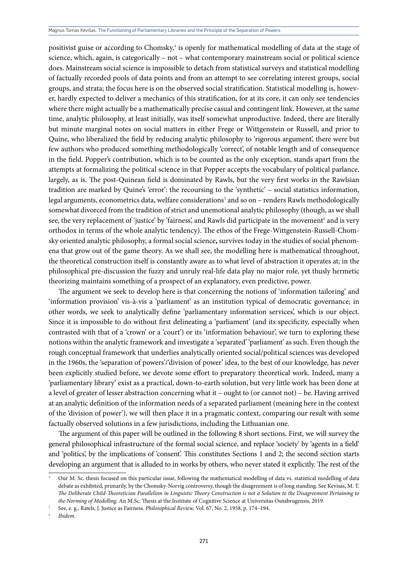positivist guise or according to Chomsky,<sup>4</sup> is openly for mathematical modelling of data at the stage of science, which, again, is categorically – not – what contemporary mainstream social or political science does. Mainstream social science is impossible to detach from statistical surveys and statistical modelling of factually recorded pools of data points and from an attempt to see correlating interest groups, social groups, and strata; the focus here is on the observed social stratification. Statistical modelling is, however, hardly expected to deliver a mechanics of this stratification, for at its core, it can only see tendencies where there might actually be a mathematically precise casual and contingent link. However, at the same time, analytic philosophy, at least initially, was itself somewhat unproductive. Indeed, there are literally but minute marginal notes on social matters in either Frege or Wittgenstein or Russell, and prior to Quine, who liberalized the field by reducing analytic philosophy to 'rigorous argument', there were but few authors who produced something methodologically 'correct', of notable length and of consequence in the field. Popper's contribution, which is to be counted as the only exception, stands apart from the attempts at formalizing the political science in that Popper accepts the vocabulary of political parlance, largely, as is. The post-Quinean field is dominated by Rawls, but the very first works in the Rawlsian tradition are marked by Quine's 'error': the recoursing to the 'synthetic' – social statistics information, legal arguments, econometrics data, welfare considerations<sup>5</sup> and so on – renders Rawls methodologically somewhat divorced from the tradition of strict and unemotional analytic philosophy (though, as we shall see, the very replacement of 'justice' by 'fairness', and Rawls did participate in the movement<sup>6</sup> and is very orthodox in terms of the whole analytic tendency). The ethos of the Frege-Wittgenstein-Russell-Chomsky oriented analytic philosophy, a formal social science**,** survives today in the studies of social phenomena that grow out of the game theory. As we shall see, the modelling here is mathematical throughout, the theoretical construction itself is constantly aware as to what level of abstraction it operates at; in the philosophical pre-discussion the fuzzy and unruly real-life data play no major role, yet thusly hermetic theorizing maintains something of a prospect of an explanatory, even predictive, power.

The argument we seek to develop here is that concerning the notions of 'information tailoring' and 'information provision' vis-à-vis a 'parliament' as an institution typical of democratic governance; in other words, we seek to analytically define 'parliamentary information services', which is our object. Since it is impossible to do without first delineating a 'parliament' (and its specificity, especially when contrasted with that of a 'crown' or a 'court') or its 'information behaviour', we turn to exploring these notions within the analytic framework and investigate a 'separated' 'parliament' as such. Even though the rough conceptual framework that underlies analytically oriented social/political sciences was developed in the 1960s, the 'separation of powers'/'division of power' idea, to the best of our knowledge, has never been explicitly studied before, we devote some effort to preparatory theoretical work. Indeed, many a 'parliamentary library' exist as a practical, down-to-earth solution, but very little work has been done at a level of greater of lesser abstraction concerning what it – ought to (or cannot not) – be. Having arrived at an analytic definition of the information needs of a separated parliament (meaning here in the context of the 'division of power'), we will then place it in a pragmatic context, comparing our result with some factually observed solutions in a few jurisdictions, including the Lithuanian one.

The argument of this paper will be outlined in the following 8 short sections**.** First, we will survey the general philosophical infrastructure of the formal social science, and replace 'society' by 'agents in a field' and 'politics', by the implications of 'consent'. This constitutes Sections 1 and 2; the second section starts developing an argument that is alluded to in works by others, who never stated it explicitly. The rest of the

<sup>4</sup> Our M. Sc. thesis focused on this particular issue, following the mathematical modelling of data vs. statistical modelling of data debate as exhibited, primarily, by the Chomsky-Norvig controversy, though the disagreement is of long standing. See Kevisas, M. T. *The Deliberate Child-Theoretician Parallelism in Linguistic Theory Construction is not a Solution to the Disagreement Pertaining to the Norming of Modelling.* An M.Sc. Thesis at the Institute of Cognitive Science at Universitas Osnabrugensis, 2019.

<sup>5</sup> See, e. g., Rawls, J. Justice as Fairness. *Philosophical Review,* Vol. 67, No. 2, 1958, p. 174–194.

<sup>6</sup> *Ibidem*.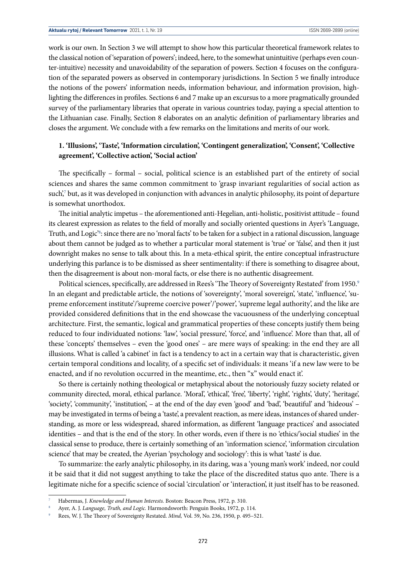work is our own. In Section 3 we will attempt to show how this particular theoretical framework relates to the classical notion of 'separation of powers'; indeed, here, to the somewhat unintuitive (perhaps even counter-intuitive) necessity and unavoidability of the separation of powers. Section 4 focuses on the configuration of the separated powers as observed in contemporary jurisdictions. In Section 5 we finally introduce the notions of the powers' information needs, information behaviour, and information provision, highlighting the differences in profiles. Sections 6 and 7 make up an excursus to a more pragmatically grounded survey of the parliamentary libraries that operate in various countries today, paying a special attention to the Lithuanian case. Finally, Section 8 elaborates on an analytic definition of parliamentary libraries and closes the argument. We conclude with a few remarks on the limitations and merits of our work.

## **1. 'Illusions', 'Taste', 'Information circulation', 'Contingent generalization', 'Consent', 'Collective agreement', 'Collective action', 'Social action'**

The specifically – formal – social, political science is an established part of the entirety of social sciences and shares the same common commitment to 'grasp invariant regularities of social action as such<sup>7</sup> but, as it was developed in conjunction with advances in analytic philosophy, its point of departure is somewhat unorthodox.

The initial analytic impetus – the aforementioned anti-Hegelian, anti-holistic, positivist attitude – found its clearest expression as relates to the field of morally and socially oriented questions in Ayer's 'Language, Truth, and Logic'8 : since there are no 'moral facts' to be taken for a subject in a rational discussion, language about them cannot be judged as to whether a particular moral statement is 'true' or 'false', and then it just downright makes no sense to talk about this. In a meta-ethical spirit, the entire conceptual infrastructure underlying this parlance is to be dismissed as sheer sentimentality: if there is something to disagree about, then the disagreement is about non-moral facts, or else there is no authentic disagreement.

Political sciences, specifically, are addressed in Rees's 'The Theory of Sovereignty Restated' from 1950.<sup>9</sup> In an elegant and predictable article, the notions of 'sovereignty', 'moral sovereign', 'state', 'influence', 'supreme enforcement institute'/'supreme coercive power'/'power', 'supreme legal authority', and the like are provided considered definitions that in the end showcase the vacuousness of the underlying conceptual architecture. First, the semantic, logical and grammatical properties of these concepts justify them being reduced to four individuated notions: 'law', 'social pressure', 'force', and 'influence'. More than that, all of these 'concepts' themselves – even the 'good ones' – are mere ways of speaking: in the end they are all illusions. What is called 'a cabinet' in fact is a tendency to act in a certain way that is characteristic, given certain temporal conditions and locality, of a specific set of individuals: it means 'if a new law were to be enacted, and if no revolution occurred in the meantime, etc., then "x" would enact it'.

So there is certainly nothing theological or metaphysical about the notoriously fuzzy society related or community directed, moral, ethical parlance. 'Moral', 'ethical', 'free', 'liberty', 'right', 'rights', 'duty', 'heritage', 'society', 'community', 'institution', – at the end of the day even 'good' and 'bad', 'beautiful' and 'hideous' – may be investigated in terms of being a 'taste', a prevalent reaction, as mere ideas, instances of shared understanding, as more or less widespread, shared information, as different 'language practices' and associated identities – and that is the end of the story. In other words, even if there is no 'ethics/'social studies' in the classical sense to produce, there is certainly something of an 'information science', 'information circulation science' that may be created, the Ayerian 'psychology and sociology': this is what 'taste' is due.

To summarize: the early analytic philosophy, in its daring, was a 'young man's work' indeed, nor could it be said that it did not suggest anything to take the place of the discredited status quo ante. There is a legitimate niche for a specific science of social 'circulation' or 'interaction', it just itself has to be reasoned.

<sup>7</sup> Habermas, J. *Knowledge and Human Interests.* Boston: Beacon Press, 1972, p. 310.

<sup>8</sup> Ayer, A. J. *Language, Truth, and Logic.* Harmondsworth: Penguin Books, 1972, p. 114.

<sup>9</sup> Rees, W. J. The Theory of Sovereignty Restated. *Mind,* Vol. 59, No. 236, 1950, p. 495–521.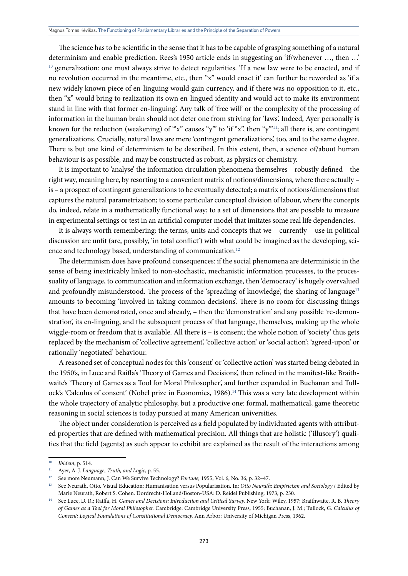The science has to be scientific in the sense that it has to be capable of grasping something of a natural determinism and enable prediction. Rees's 1950 article ends in suggesting an 'if/whenever …, then …' <sup>10</sup> generalization: one must always strive to detect regularities. 'If a new law were to be enacted, and if no revolution occurred in the meantime, etc., then "x" would enact it' can further be reworded as 'if a new widely known piece of en-linguing would gain currency, and if there was no opposition to it, etc., then "x" would bring to realization its own en-lingued identity and would act to make its environment stand in line with that former en-linguing'. Any talk of 'free will' or the complexity of the processing of information in the human brain should not deter one from striving for 'laws'. Indeed, Ayer personally is known for the reduction (weakening) of "x" causes "y"" to 'if "x", then "y"<sup>11</sup>; all there is, are contingent generalizations. Crucially, natural laws are mere 'contingent generalizations', too, and to the same degree. There is but one kind of determinism to be described. In this extent, then, a science of/about human behaviour is as possible, and may be constructed as robust, as physics or chemistry.

It is important to 'analyse' the information circulation phenomena themselves – robustly defined – the right way, meaning here, by resorting to a convenient matrix of notions/dimensions, where there actually – is – a prospect of contingent generalizations to be eventually detected; a matrix of notions/dimensions that captures the natural parametrization; to some particular conceptual division of labour, where the concepts do, indeed, relate in a mathematically functional way; to a set of dimensions that are possible to measure in experimental settings or test in an artificial computer model that imitates some real life dependencies.

It is always worth remembering: the terms, units and concepts that we – currently – use in political discussion are unfit (are, possibly, 'in total conflict') with what could be imagined as the developing, science and technology based, understanding of communication.<sup>12</sup>

The determinism does have profound consequences: if the social phenomena are deterministic in the sense of being inextricably linked to non-stochastic, mechanistic information processes, to the processuality of language, to communication and information exchange, then 'democracy' is hugely overvalued and profoundly misunderstood. The process of the 'spreading of knowledge', the sharing of language<sup>13</sup> amounts to becoming 'involved in taking common decisions'. There is no room for discussing things that have been demonstrated, once and already, – then the 'demonstration' and any possible 're-demonstration', its en-linguing, and the subsequent process of that language, themselves, making up the whole wiggle-room or freedom that is available. All there is – is consent; the whole notion of 'society' thus gets replaced by the mechanism of 'collective agreement', 'collective action' or 'social action'; 'agreed-upon' or rationally 'negotiated' behaviour.

A reasoned set of conceptual nodes for this 'consent' or 'collective action' was started being debated in the 1950's, in Luce and Raiffa's 'Theory of Games and Decisions', then refined in the manifest-like Braithwaite's 'Theory of Games as a Tool for Moral Philosopher', and further expanded in Buchanan and Tullock's 'Calculus of consent' (Nobel prize in Economics, 1986).<sup>14</sup> This was a very late development within the whole trajectory of analytic philosophy, but a productive one: formal, mathematical, game theoretic reasoning in social sciences is today pursued at many American universities.

The object under consideration is perceived as a field populated by individuated agents with attributed properties that are defined with mathematical precision. All things that are holistic ('illusory') qualities that the field (agents) as such appear to exhibit are explained as the result of the interactions among

<sup>10</sup> *Ibidem*, p. 514.

<sup>11</sup> Ayer, A. J. *Language, Truth, and Logic*, p. 55.

<sup>12</sup> See more Neumann, J. Can We Survive Technology? *Fortune,* 1955, Vol. 6, No. 36, p. 32–47.

<sup>13</sup> See Neurath, Otto. Visual Education: Humanisation versus Popularisation. In: *Otto Neurath: Empiricism and Sociology* / Edited by Marie Neurath, Robert S. Cohen. Dordrecht-Holland/Boston-USA: D. Reidel Publishing, 1973, p. 230.

<sup>14</sup> See Luce, D. R.; Raiffa, H. *Games and Decisions: Introduction and Critical Survey.* New York: Wiley, 1957; Braithwaite, R. B. *Theory of Games as a Tool for Moral Philosopher.* Cambridge: Cambridge University Press, 1955; Buchanan, J. M.; Tullock, G. *Calculus of Consent: Logical Foundations of Constitutional Democracy.* Ann Arbor: University of Michigan Press, 1962.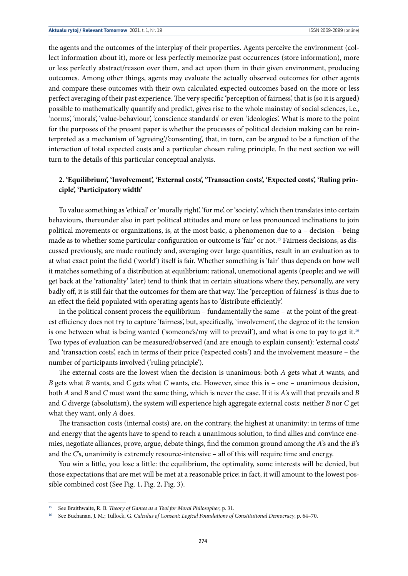the agents and the outcomes of the interplay of their properties. Agents perceive the environment (collect information about it), more or less perfectly memorize past occurrences (store information), more or less perfectly abstract/reason over them, and act upon them in their given environment, producing outcomes. Among other things, agents may evaluate the actually observed outcomes for other agents and compare these outcomes with their own calculated expected outcomes based on the more or less perfect averaging of their past experience. The very specific 'perception of fairness', that is (so it is argued) possible to mathematically quantify and predict, gives rise to the whole mainstay of social sciences, i.e., 'norms', 'morals', 'value-behaviour', 'conscience standards' or even 'ideologies'. What is more to the point for the purposes of the present paper is whether the processes of political decision making can be reinterpreted as a mechanism of 'agreeing'/'consenting', that, in turn, can be argued to be a function of the interaction of total expected costs and a particular chosen ruling principle. In the next section we will turn to the details of this particular conceptual analysis.

## **2. 'Equilibrium', 'Involvement', 'External costs', 'Transaction costs', 'Expected costs', 'Ruling principle', 'Participatory width'**

To value something as 'ethical' or 'morally right', 'for me', or 'society', which then translates into certain behaviours, thereunder also in part political attitudes and more or less pronounced inclinations to join political movements or organizations, is, at the most basic, a phenomenon due to a – decision – being made as to whether some particular configuration or outcome is 'fair' or not.15 Fairness decisions, as discussed previously, are made routinely and, averaging over large quantities, result in an evaluation as to at what exact point the field ('world') itself is fair. Whether something is 'fair' thus depends on how well it matches something of a distribution at equilibrium: rational, unemotional agents (people; and we will get back at the 'rationality' later) tend to think that in certain situations where they, personally, are very badly off, it is still fair that the outcomes for them are that way. The 'perception of fairness' is thus due to an effect the field populated with operating agents has to 'distribute efficiently'.

In the political consent process the equilibrium – fundamentally the same – at the point of the greatest efficiency does not try to capture 'fairness', but, specifically, 'involvement', the degree of it: the tension is one between what is being wanted ('someone's/my will to prevail'), and what is one to pay to get it.<sup>16</sup> Two types of evaluation can be measured/observed (and are enough to explain consent): 'external costs' and 'transaction costs', each in terms of their price ('expected costs') and the involvement measure – the number of participants involved ('ruling principle').

The external costs are the lowest when the decision is unanimous: both *A* gets what *A* wants, and *B* gets what *B* wants, and *C* gets what *C* wants, etc. However, since this is – one – unanimous decision, both *A* and *B* and *C* must want the same thing, which is never the case. If it is *A*'s will that prevails and *B* and *C* diverge (absolutism), the system will experience high aggregate external costs: neither *B* nor *C* get what they want, only *A* does.

The transaction costs (internal costs) are, on the contrary, the highest at unanimity: in terms of time and energy that the agents have to spend to reach a unanimous solution, to find allies and convince enemies, negotiate alliances, prove, argue, debate things, find the common ground among the *A*'s and the *B*'s and the *C*'s, unanimity is extremely resource-intensive – all of this will require time and energy.

You win a little, you lose a little: the equilibrium, the optimality, some interests will be denied, but those expectations that are met will be met at a reasonable price; in fact, it will amount to the lowest possible combined cost (See Fig. 1, Fig. 2, Fig. 3).

<sup>15</sup> See Braithwaite, R. B. *Theory of Games as a Tool for Moral Philosopher*, p. 31.

<sup>16</sup> See Buchanan, J. M.; Tullock, G. *Calculus of Consent: Logical Foundations of Constitutional Democracy*, p. 64–70.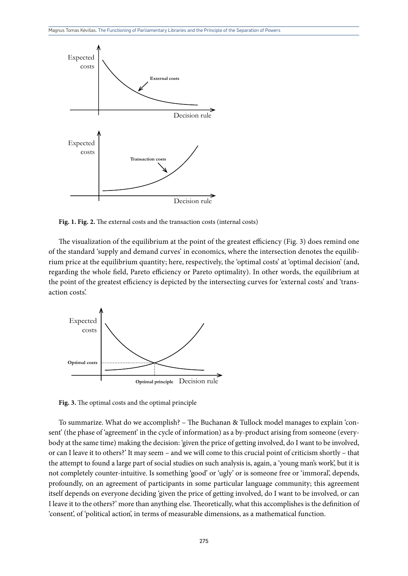

**Fig. 1. Fig. 2.** The external costs and the transaction costs (internal costs)

The visualization of the equilibrium at the point of the greatest efficiency (Fig. 3) does remind one of the standard 'supply and demand curves' in economics, where the intersection denotes the equilibrium price at the equilibrium quantity; here, respectively, the 'optimal costs' at 'optimal decision' (and, regarding the whole field, Pareto efficiency or Pareto optimality). In other words, the equilibrium at the point of the greatest efficiency is depicted by the intersecting curves for 'external costs' and 'transaction costs'.



**Fig. 3.** The optimal costs and the optimal principle

To summarize. What do we accomplish? – The Buchanan & Tullock model manages to explain 'consent' (the phase of 'agreement' in the cycle of information) as a by-product arising from someone (everybody at the same time) making the decision: 'given the price of getting involved, do I want to be involved, or can I leave it to others?' It may seem – and we will come to this crucial point of criticism shortly – that the attempt to found a large part of social studies on such analysis is, again, a 'young man's work', but it is not completely counter-intuitive. Is something 'good' or 'ugly' or is someone free or 'immoral', depends, profoundly, on an agreement of participants in some particular language community; this agreement itself depends on everyone deciding 'given the price of getting involved, do I want to be involved, or can I leave it to the others?' more than anything else. Theoretically, what this accomplishes is the definition of 'consent', of 'political action', in terms of measurable dimensions, as a mathematical function.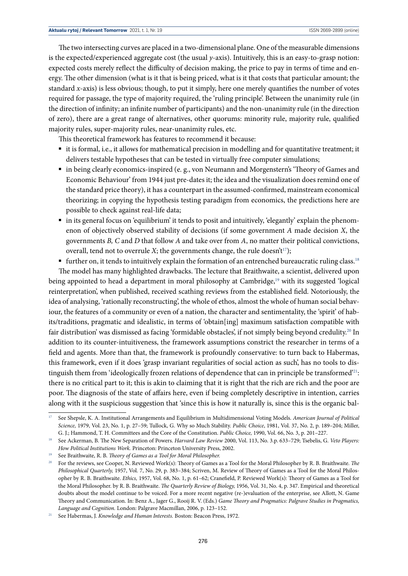The two intersecting curves are placed in a two-dimensional plane. One of the measurable dimensions is the expected/experienced aggregate cost (the usual *y*-axis). Intuitively, this is an easy-to-grasp notion: expected costs merely reflect the difficulty of decision making, the price to pay in terms of time and energy. The other dimension (what is it that is being priced, what is it that costs that particular amount; the standard *x*-axis) is less obvious; though, to put it simply, here one merely quantifies the number of votes required for passage, the type of majority required, the 'ruling principle'. Between the unanimity rule (in the direction of infinity; an infinite number of participants) and the non-unanimity rule (in the direction of zero), there are a great range of alternatives, other quorums: minority rule, majority rule, qualified majority rules, super-majority rules, near-unanimity rules, etc.

This theoretical framework has features to recommend it because:

- it is formal, i.e., it allows for mathematical precision in modelling and for quantitative treatment; it delivers testable hypotheses that can be tested in virtually free computer simulations;
- in being clearly economics-inspired (e. g., von Neumann and Morgenstern's 'Theory of Games and Economic Behaviour' from 1944 just pre-dates it; the idea and the visualization does remind one of the standard price theory), it has a counterpart in the assumed-confirmed, mainstream economical theorizing; in copying the hypothesis testing paradigm from economics, the predictions here are possible to check against real-life data;
- in its general focus on 'equilibrium' it tends to posit and intuitively, 'elegantly' explain the phenomenon of objectively observed stability of decisions (if some government *A* made decision *X*, the governments *B, C* and *D* that follow *A* and take over from *A*, no matter their political convictions, overall, tend not to overrule *X*; the governments change, the rule doesn't<sup>17</sup>);
- further on, it tends to intuitively explain the formation of an entrenched bureaucratic ruling class.<sup>18</sup>

The model has many highlighted drawbacks. The lecture that Braithwaite, a scientist, delivered upon being appointed to head a department in moral philosophy at Cambridge,<sup>19</sup> with its suggested 'logical reinterpretation', when published, received scathing reviews from the established field. Notoriously, the idea of analysing, 'rationally reconstructing', the whole of ethos, almost the whole of human social behaviour, the features of a community or even of a nation, the character and sentimentality, the 'spirit' of habits/traditions, pragmatic and idealistic, in terms of 'obtain[ing] maximum satisfaction compatible with fair distribution' was dismissed as facing 'formidable obstacles', if not simply being beyond credulity.<sup>20</sup> In addition to its counter-intuitiveness, the framework assumptions constrict the researcher in terms of a field and agents. More than that, the framework is profoundly conservative: to turn back to Habermas, this framework, even if it does 'grasp invariant regularities of social action as such', has no tools to distinguish them from 'ideologically frozen relations of dependence that can in principle be transformed'21: there is no critical part to it; this is akin to claiming that it is right that the rich are rich and the poor are poor. The diagnosis of the state of affairs here, even if being completely descriptive in intention, carries along with it the suspicious suggestion that 'since this is how it naturally is, since this is the organic bal-

<sup>17</sup> See Shepsle, K. A. Institutional Arrangements and Equilibrium in Multidimensional Voting Models. *American Journal of Political Science,* 1979, Vol. 23, No. 1, p. 27–59; Tullock, G. Why so Much Stability. *Public Choice*, 1981, Vol. 37, No. 2, p. 189–204; Miller, G. J.; Hammond, T. H. Committees and the Core of the Constitution. *Public Choice,* 1990, Vol. 66, No. 3, p. 201–227.

<sup>18</sup> See Ackerman, B. The New Separation of Powers. *Harvard Law Review* 2000, Vol. 113, No. 3.p. 633–729; Tsebelis, G. *Veto Players: How Political Institutions Work.* Princeton: Princeton University Press, 2002.

<sup>19</sup> See Braithwaite, R. B. *Theory of Games as a Tool for Moral Philosopher.*

<sup>&</sup>lt;sup>20</sup> For the reviews, see Cooper, N. Reviewed Work(s): Theory of Games as a Tool for the Moral Philosopher by R. B. Braithwaite. *The Philosophical Quarterly,* 1957, Vol. 7, No. 29, p. 383–384; Scriven, M. Review of Theory of Games as a Tool for the Moral Philosopher by R. B. Braithwaite. *Ethics,* 1957, Vol. 68, No. 1, p. 61–62; Cranefield, P. Reviewed Work(s): Theory of Games as a Tool for the Moral Philosopher. by R. B. Braithwaite. *The Quarterly Review of Biology,* 1956, Vol. 31, No. 4, p. 347. Empirical and theoretical doubts about the model continue to be voiced. For a more recent negative (re-)evaluation of the enterprise, see Allott, N. Game Theory and Communication. In: Benz A., Jager G., Rooij R. V. (Eds.) *Game Theory and Pragmatics: Palgrave Studies in Pragmatics, Language and Cognition.* London: Palgrave Macmillan, 2006, p. 123–152.

<sup>21</sup> See Habermas, J. *Knowledge and Human Interests.* Boston: Beacon Press, 1972.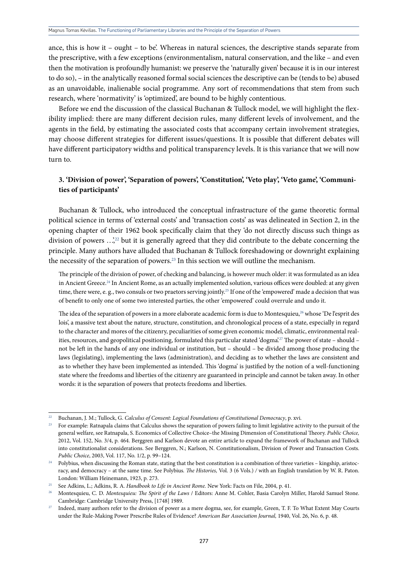ance, this is how it – ought – to be'. Whereas in natural sciences, the descriptive stands separate from the prescriptive, with a few exceptions (environmentalism, natural conservation, and the like – and even then the motivation is profoundly humanist: we preserve the 'naturally given' because it is in our interest to do so), – in the analytically reasoned formal social sciences the descriptive can be (tends to be) abused as an unavoidable, inalienable social programme. Any sort of recommendations that stem from such research, where 'normativity' is 'optimized', are bound to be highly contentious.

Before we end the discussion of the classical Buchanan & Tullock model, we will highlight the flexibility implied: there are many different decision rules, many different levels of involvement, and the agents in the field, by estimating the associated costs that accompany certain involvement strategies, may choose different strategies for different issues/questions. It is possible that different debates will have different participatory widths and political transparency levels. It is this variance that we will now turn to.

## **3. 'Division of power', 'Separation of powers', 'Constitution', 'Veto play', 'Veto game', 'Communities of participants'**

Buchanan & Tullock, who introduced the conceptual infrastructure of the game theoretic formal political science in terms of 'external costs' and 'transaction costs' as was delineated in Section 2, in the opening chapter of their 1962 book specifically claim that they 'do not directly discuss such things as division of powers …',22 but it is generally agreed that they did contribute to the debate concerning the principle. Many authors have alluded that Buchanan & Tullock foreshadowing or downright explaining the necessity of the separation of powers.<sup>23</sup> In this section we will outline the mechanism.

The principle of the division of power, of checking and balancing, is however much older: it was formulated as an idea in Ancient Greece.<sup>24</sup> In Ancient Rome, as an actually implemented solution, various offices were doubled: at any given time, there were, e.g., two consuls or two praetors serving jointly.<sup>25</sup> If one of the 'empowered' made a decision that was of benefit to only one of some two interested parties, the other 'empowered' could overrule and undo it.

The idea of the separation of powers in a more elaborate academic form is due to Montesquieu,<sup>26</sup> whose 'De l'esprit des lois', a massive text about the nature, structure, constitution, and chronological process of a state, especially in regard to the character and mores of the citizenry, peculiarities of some given economic model, climatic, environmental realities, resources, and geopolitical positioning, formulated this particular stated 'dogma'.<sup>27</sup> The power of state – should – not be left in the hands of any one individual or institution, but – should – be divided among those producing the laws (legislating), implementing the laws (administration), and deciding as to whether the laws are consistent and as to whether they have been implemented as intended. This 'dogma' is justified by the notion of a well-functioning state where the freedoms and liberties of the citizenry are guaranteed in principle and cannot be taken away. In other words: it is the separation of powers that protects freedoms and liberties.

<sup>22</sup> Buchanan, J. M.; Tullock, G. *Calculus of Consent: Logical Foundations of Constitutional Democracy*, p. xvi.

<sup>&</sup>lt;sup>23</sup> For example: Ratnapala claims that Calculus shows the separation of powers failing to limit legislative activity to the pursuit of the general welfare, see Ratnapala, S. Economics of Collective Choice–the Missing Dimension of Constitutional Theory. *Public Choice,* 2012, Vol. 152, No. 3/4, p. 464. Berggren and Karlson devote an entire article to expand the framework of Buchanan and Tullock into constitutionalist considerations. See Berggren, N.; Karlson, N. Constitutionalism, Division of Power and Transaction Costs. *Public Choice*, 2003, Vol. 117, No. 1/2, p. 99–124.

<sup>&</sup>lt;sup>24</sup> Polybius, when discussing the Roman state, stating that the best constitution is a combination of three varieties – kingship, aristocracy, and democracy – at the same time. See Polybius*. The Histories,* Vol. 3 (6 Vols.) */* with an English translation by W. R. Paton. London: William Heinemann, 1923, p. 273.

<sup>25</sup> See Adkins, L.; Adkins, R. A. *Handbook to Life in Ancient Rome.* New York: Facts on File, 2004, p. 41.

<sup>26</sup> Montesquieu, C. D. *Montesquieu: The Spirit of the Laws* / Editors: Anne M. Cohler, Basia Carolyn Miller, Harold Samuel Stone. Cambridge: Cambridge University Press, [1748] 1989. 27 Indeed, many authors refer to the division of power as a mere dogma, see, for example, Green, T. F. To What Extent May Courts

under the Rule-Making Power Prescribe Rules of Evidence? *American Bar Association Journal,* 1940, Vol. 26, No. 6, p. 48.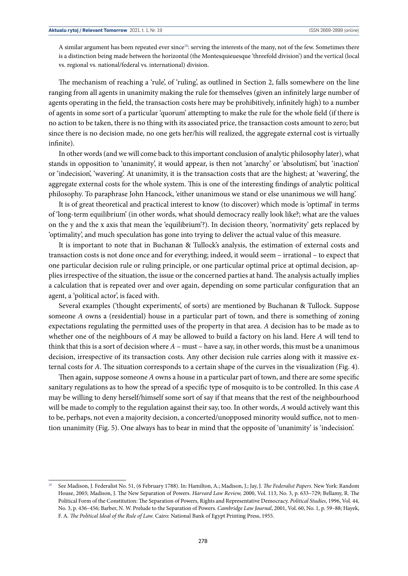A similar argument has been repeated ever since<sup>28</sup>: serving the interests of the many, not of the few. Sometimes there is a distinction being made between the horizontal (the Montesquieuesque 'threefold division') and the vertical (local vs. regional vs. national/federal vs. international) division.

The mechanism of reaching a 'rule', of 'ruling', as outlined in Section 2, falls somewhere on the line ranging from all agents in unanimity making the rule for themselves (given an infinitely large number of agents operating in the field, the transaction costs here may be prohibitively, infinitely high) to a number of agents in some sort of a particular 'quorum' attempting to make the rule for the whole field (if there is no action to be taken, there is no thing with its associated price, the transaction costs amount to zero; but since there is no decision made, no one gets her/his will realized, the aggregate external cost is virtually infinite).

In other words (and we will come back to this important conclusion of analytic philosophy later), what stands in opposition to 'unanimity', it would appear, is then not 'anarchy' or 'absolutism', but 'inaction' or 'indecision', 'wavering'. At unanimity, it is the transaction costs that are the highest; at 'wavering', the aggregate external costs for the whole system. This is one of the interesting findings of analytic political philosophy. To paraphrase John Hancock, 'either unanimous we stand or else unanimous we will hang'.

It is of great theoretical and practical interest to know (to discover) which mode is 'optimal' in terms of 'long-term equilibrium' (in other words, what should democracy really look like?; what are the values on the y and the x axis that mean the 'equilibrium'?). In decision theory, 'normativity' gets replaced by 'optimality', and much speculation has gone into trying to deliver the actual value of this measure.

It is important to note that in Buchanan & Tullock's analysis, the estimation of external costs and transaction costs is not done once and for everything; indeed, it would seem – irrational – to expect that one particular decision rule or ruling principle, or one particular optimal price at optimal decision, applies irrespective of the situation, the issue or the concerned parties at hand. The analysis actually implies a calculation that is repeated over and over again, depending on some particular configuration that an agent, a 'political actor', is faced with.

Several examples ('thought experiments', of sorts) are mentioned by Buchanan & Tullock. Suppose someone *A* owns a (residential) house in a particular part of town, and there is something of zoning expectations regulating the permitted uses of the property in that area. *A* decision has to be made as to whether one of the neighbours of *A* may be allowed to build a factory on his land. Here *A* will tend to think that this is a sort of decision where *A* – must – have a say, in other words, this must be a unanimous decision, irrespective of its transaction costs. Any other decision rule carries along with it massive external costs for *A*. The situation corresponds to a certain shape of the curves in the visualization (Fig. 4).

Then again, suppose someone *A* owns a house in a particular part of town, and there are some specific sanitary regulations as to how the spread of a specific type of mosquito is to be controlled. In this case *A* may be willing to deny herself/himself some sort of say if that means that the rest of the neighbourhood will be made to comply to the regulation against their say, too. In other words, *A* would actively want this to be, perhaps, not even a majority decision, a concerted/unopposed minority would suffice, not to mention unanimity (Fig. 5). One always has to bear in mind that the opposite of 'unanimity' is 'indecision'.

<sup>28</sup> See Madison, J. Federalist No. 51, (6 February 1788). In: Hamilton, A.; Madison, J.; Jay, J. *The Federalist Papers.* New York: Random House, 2003; Madison, J. The New Separation of Powers. *Harvard Law Review,* 2000, Vol. 113, No. 3, p. 633–729; Bellamy, R. The Political Form of the Constitution: The Separation of Powers, Rights and Representative Democracy. *Political Studies*, 1996, Vol. 44, No. 3, p. 436–456; Barber, N. W. Prelude to the Separation of Powers. *Cambridge Law Journal*, 2001, Vol. 60, No. 1, p. 59–88; Hayek, F. A. *The Political Ideal of the Rule of Law.* Cairo: National Bank of Egypt Printing Press, 1955.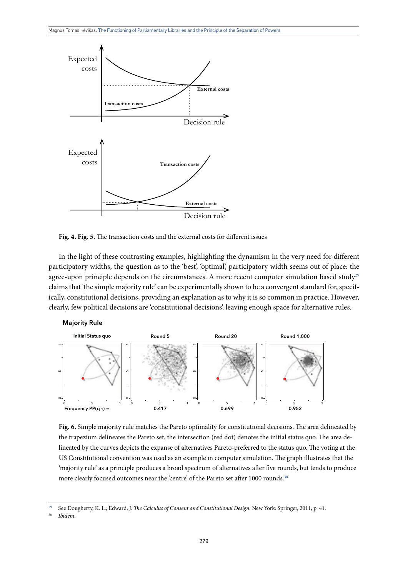

**Fig. 4. Fig. 5.** The transaction costs and the external costs for different issues

In the light of these contrasting examples, highlighting the dynamism in the very need for different participatory widths, the question as to the 'best', 'optimal', participatory width seems out of place: the agree-upon principle depends on the circumstances. A more recent computer simulation based study<sup>29</sup> claims that 'the simple majority rule' can be experimentally shown to be a convergent standard for, specifically, constitutional decisions, providing an explanation as to why it is so common in practice. However, clearly, few political decisions are 'constitutional decisions', leaving enough space for alternative rules.





**Fig. 6.** Simple majority rule matches the Pareto optimality for constitutional decisions. The area delineated by the trapezium delineates the Pareto set, the intersection (red dot) denotes the initial status quo. The area delineated by the curves depicts the expanse of alternatives Pareto-preferred to the status quo. The voting at the US Constitutional convention was used as an example in computer simulation. The graph illustrates that the 'majority rule' as a principle produces a broad spectrum of alternatives after five rounds, but tends to produce more clearly focused outcomes near the 'centre' of the Pareto set after 1000 rounds.<sup>30</sup>

<sup>29</sup> See Dougherty, K. L.; Edward, J. *The Calculus of Consent and Constitutional Design.* New York: Springer, 2011, p. 41.

<sup>30</sup> *Ibidem*.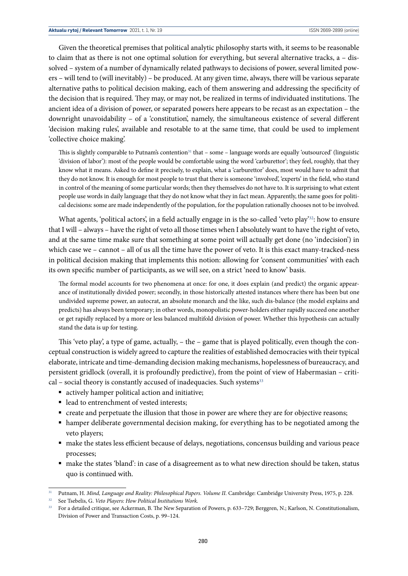Given the theoretical premises that political analytic philosophy starts with, it seems to be reasonable to claim that as there is not one optimal solution for everything, but several alternative tracks,  $a - dis$ solved – system of a number of dynamically related pathways to decisions of power, several limited powers – will tend to (will inevitably) – be produced. At any given time, always, there will be various separate alternative paths to political decision making, each of them answering and addressing the specificity of the decision that is required. They may, or may not, be realized in terms of individuated institutions. The ancient idea of a division of power, or separated powers here appears to be recast as an expectation – the downright unavoidability – of a 'constitution', namely, the simultaneous existence of several different 'decision making rules', available and resotable to at the same time, that could be used to implement 'collective choice making'.

This is slightly comparable to Putnam's contention<sup>31</sup> that – some – language words are equally 'outsourced' (linguistic 'division of labor'): most of the people would be comfortable using the word 'carburettor'; they feel, roughly, that they know what it means. Asked to define it precisely, to explain, what a 'carburettor' does, most would have to admit that they do not know. It is enough for most people to trust that there is someone 'involved', 'experts' in the field, who stand in control of the meaning of some particular words; then they themselves do not have to. It is surprising to what extent people use words in daily language that they do not know what they in fact mean. Apparently, the same goes for political decisions: some are made independently of the population, for the population rationally chooses not to be involved.

What agents, 'political actors', in a field actually engage in is the so-called 'veto play'<sup>32</sup>: how to ensure that I will – always – have the right of veto all those times when I absolutely want to have the right of veto, and at the same time make sure that something at some point will actually get done (no 'indecision') in which case we – cannot – all of us all the time have the power of veto. It is this exact many-tracked-ness in political decision making that implements this notion: allowing for 'consent communities' with each its own specific number of participants, as we will see, on a strict 'need to know' basis.

The formal model accounts for two phenomena at once: for one, it does explain (and predict) the organic appearance of institutionally divided power; secondly, in those historically attested instances where there has been but one undivided supreme power, an autocrat, an absolute monarch and the like, such dis-balance (the model explains and predicts) has always been temporary; in other words, monopolistic power-holders either rapidly succeed one another or get rapidly replaced by a more or less balanced multifold division of power. Whether this hypothesis can actually stand the data is up for testing.

This 'veto play', a type of game, actually, – the – game that is played politically, even though the conceptual construction is widely agreed to capture the realities of established democracies with their typical elaborate, intricate and time-demanding decision making mechanisms, hopelessness of bureaucracy, and persistent gridlock (overall, it is profoundly predictive), from the point of view of Habermasian – critical – social theory is constantly accused of inadequacies. Such systems<sup>33</sup>

- actively hamper political action and initiative;
- lead to entrenchment of vested interests;
- create and perpetuate the illusion that those in power are where they are for objective reasons;
- § hamper deliberate governmental decision making, for everything has to be negotiated among the veto players;
- make the states less efficient because of delays, negotiations, concensus building and various peace processes;
- make the states 'bland': in case of a disagreement as to what new direction should be taken, status quo is continued with.

<sup>&</sup>lt;sup>31</sup> Putnam, H. *Mind, Language and Reality: Philosophical Papers. Volume II. Cambridge: Cambridge University Press, 1975, p. 228.* 

<sup>32</sup> See Tsebelis, G. *Veto Players: How Political Institutions Work.*

<sup>33</sup> For a detailed critique, see Ackerman, B. The New Separation of Powers, p. 633–729; Berggren, N.; Karlson, N. Constitutionalism, Division of Power and Transaction Costs, p. 99–124.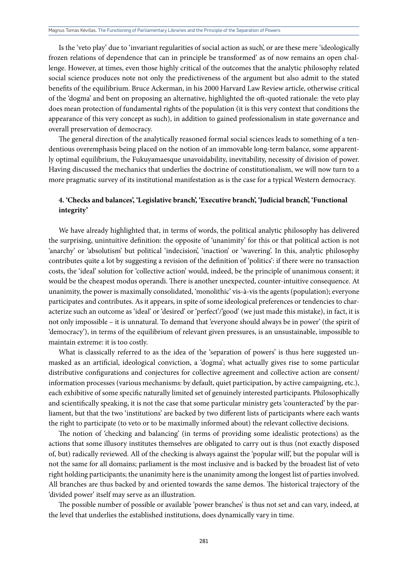Is the 'veto play' due to 'invariant regularities of social action as such', or are these mere 'ideologically frozen relations of dependence that can in principle be transformed' as of now remains an open challenge. However, at times, even those highly critical of the outcomes that the analytic philosophy related social science produces note not only the predictiveness of the argument but also admit to the stated benefits of the equilibrium. Bruce Ackerman, in his 2000 Harvard Law Review article, otherwise critical of the 'dogma' and bent on proposing an alternative, highlighted the oft-quoted rationale: the veto play does mean protection of fundamental rights of the population (it is this very context that conditions the appearance of this very concept as such), in addition to gained professionalism in state governance and overall preservation of democracy.

The general direction of the analytically reasoned formal social sciences leads to something of a tendentious overemphasis being placed on the notion of an immovable long-term balance, some apparently optimal equilibrium, the Fukuyamaesque unavoidability, inevitability, necessity of division of power. Having discussed the mechanics that underlies the doctrine of constitutionalism, we will now turn to a more pragmatic survey of its institutional manifestation as is the case for a typical Western democracy.

## **4. 'Checks and balances', 'Legislative branch', 'Executive branch', 'Judicial branch', 'Functional integrity'**

We have already highlighted that, in terms of words, the political analytic philosophy has delivered the surprising, unintuitive definition: the opposite of 'unanimity' for this or that political action is not 'anarchy' or 'absolutism' but political 'indecision', 'inaction' or 'wavering'. In this, analytic philosophy contributes quite a lot by suggesting a revision of the definition of 'politics': if there were no transaction costs, the 'ideal' solution for 'collective action' would, indeed, be the principle of unanimous consent; it would be the cheapest modus operandi. There is another unexpected, counter-intuitive consequence. At unanimity, the power is maximally consolidated, 'monolithic' vis-à-vis the agents (population); everyone participates and contributes. As it appears, in spite of some ideological preferences or tendencies to characterize such an outcome as 'ideal' or 'desired' or 'perfect'/'good' (we just made this mistake), in fact, it is not only impossible – it is unnatural. To demand that 'everyone should always be in power' (the spirit of 'democracy'), in terms of the equilibrium of relevant given pressures, is an unsustainable, impossible to maintain extreme: it is too costly.

What is classically referred to as the idea of the 'separation of powers' is thus here suggested unmasked as an artificial, ideological conviction, a 'dogma'; what actually gives rise to some particular distributive configurations and conjectures for collective agreement and collective action are consent/ information processes (various mechanisms: by default, quiet participation, by active campaigning, etc.), each exhibitive of some specific naturally limited set of genuinely interested participants. Philosophically and scientifically speaking, it is not the case that some particular ministry gets 'counteracted' by the parliament, but that the two 'institutions' are backed by two different lists of participants where each wants the right to participate (to veto or to be maximally informed about) the relevant collective decisions.

The notion of 'checking and balancing' (in terms of providing some idealistic protections) as the actions that some illusory institutes themselves are obligated to carry out is thus (not exactly disposed of, but) radically reviewed. All of the checking is always against the 'popular will', but the popular will is not the same for all domains; parliament is the most inclusive and is backed by the broadest list of veto right holding participants; the unanimity here is the unanimity among the longest list of parties involved. All branches are thus backed by and oriented towards the same demos. The historical trajectory of the 'divided power' itself may serve as an illustration.

The possible number of possible or available 'power branches' is thus not set and can vary, indeed, at the level that underlies the established institutions, does dynamically vary in time.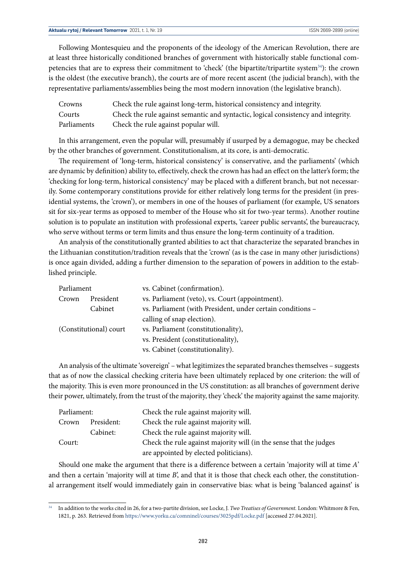Following Montesquieu and the proponents of the ideology of the American Revolution, there are at least three historically conditioned branches of government with historically stable functional competencies that are to express their commitment to 'check' (the bipartite/tripartite system34): the crown is the oldest (the executive branch), the courts are of more recent ascent (the judicial branch), with the representative parliaments/assemblies being the most modern innovation (the legislative branch).

| Crowns      | Check the rule against long-term, historical consistency and integrity.           |
|-------------|-----------------------------------------------------------------------------------|
| Courts      | Check the rule against semantic and syntactic, logical consistency and integrity. |
| Parliaments | Check the rule against popular will.                                              |

In this arrangement, even the popular will, presumably if usurped by a demagogue, may be checked by the other branches of government. Constitutionalism, at its core, is anti-democratic.

The requirement of 'long-term, historical consistency' is conservative, and the parliaments' (which are dynamic by definition) ability to, effectively, check the crown has had an effect on the latter's form; the 'checking for long-term, historical consistency' may be placed with a different branch, but not necessarily. Some contemporary constitutions provide for either relatively long terms for the president (in presidential systems, the 'crown'), or members in one of the houses of parliament (for example, US senators sit for six-year terms as opposed to member of the House who sit for two-year terms). Another routine solution is to populate an institution with professional experts, 'career public servants', the bureaucracy, who serve without terms or term limits and thus ensure the long-term continuity of a tradition.

An analysis of the constitutionally granted abilities to act that characterize the separated branches in the Lithuanian constitution/tradition reveals that the 'crown' (as is the case in many other jurisdictions) is once again divided, adding a further dimension to the separation of powers in addition to the established principle.

| Parliament             |           | vs. Cabinet (confirmation).                                |
|------------------------|-----------|------------------------------------------------------------|
| Crown                  | President | vs. Parliament (veto), vs. Court (appointment).            |
|                        | Cabinet   | vs. Parliament (with President, under certain conditions - |
|                        |           | calling of snap election).                                 |
| (Constitutional) court |           | vs. Parliament (constitutionality),                        |
|                        |           | vs. President (constitutionality),                         |
|                        |           | vs. Cabinet (constitutionality).                           |

An analysis of the ultimate 'sovereign' – what legitimizes the separated branches themselves – suggests that as of now the classical checking criteria have been ultimately replaced by one criterion: the will of the majority. This is even more pronounced in the US constitution: as all branches of government derive their power, ultimately, from the trust of the majority, they 'check' the majority against the same majority.

| Parliament: |            | Check the rule against majority will.                              |
|-------------|------------|--------------------------------------------------------------------|
| Crown       | President: | Check the rule against majority will.                              |
|             | Cabinet:   | Check the rule against majority will.                              |
| Court:      |            | Check the rule against majority will (in the sense that the judges |
|             |            | are appointed by elected politicians).                             |

Should one make the argument that there is a difference between a certain 'majority will at time *A*' and then a certain 'majority will at time *B*', and that it is those that check each other, the constitutional arrangement itself would immediately gain in conservative bias: what is being 'balanced against' is

<sup>34</sup> In addition to the works cited in 26, for a two-partite division, see Locke, J. *Two Treatises of Government.* London: Whitmore & Fen, 1821, p. 263. Retrieved from <https://www.yorku.ca/comninel/courses/3025pdf/Locke.pdf> [accessed 27.04.2021].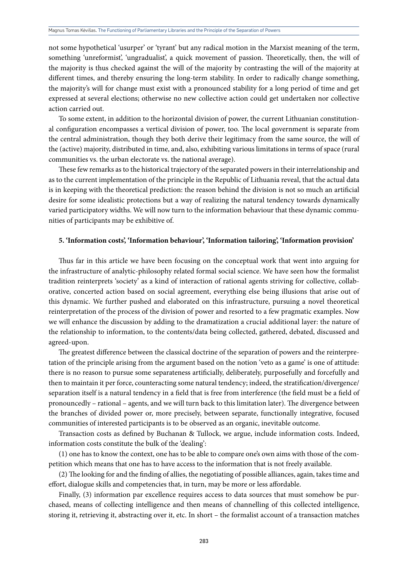not some hypothetical 'usurper' or 'tyrant' but any radical motion in the Marxist meaning of the term, something 'unreformist', 'ungradualist', a quick movement of passion. Theoretically, then, the will of the majority is thus checked against the will of the majority by contrasting the will of the majority at different times, and thereby ensuring the long-term stability. In order to radically change something, the majority's will for change must exist with a pronounced stability for a long period of time and get expressed at several elections; otherwise no new collective action could get undertaken nor collective action carried out.

To some extent, in addition to the horizontal division of power, the current Lithuanian constitutional configuration encompasses a vertical division of power, too. The local government is separate from the central administration, though they both derive their legitimacy from the same source, the will of the (active) majority, distributed in time, and, also, exhibiting various limitations in terms of space (rural communities vs. the urban electorate vs. the national average).

These few remarks as to the historical trajectory of the separated powers in their interrelationship and as to the current implementation of the principle in the Republic of Lithuania reveal, that the actual data is in keeping with the theoretical prediction: the reason behind the division is not so much an artificial desire for some idealistic protections but a way of realizing the natural tendency towards dynamically varied participatory widths. We will now turn to the information behaviour that these dynamic communities of participants may be exhibitive of.

#### **5. 'Information costs', 'Information behaviour', 'Information tailoring', 'Information provision'**

Thus far in this article we have been focusing on the conceptual work that went into arguing for the infrastructure of analytic-philosophy related formal social science. We have seen how the formalist tradition reinterprets 'society' as a kind of interaction of rational agents striving for collective, collaborative, concerted action based on social agreement, everything else being illusions that arise out of this dynamic. We further pushed and elaborated on this infrastructure, pursuing a novel theoretical reinterpretation of the process of the division of power and resorted to a few pragmatic examples. Now we will enhance the discussion by adding to the dramatization a crucial additional layer: the nature of the relationship to information, to the contents/data being collected, gathered, debated, discussed and agreed-upon.

The greatest difference between the classical doctrine of the separation of powers and the reinterpretation of the principle arising from the argument based on the notion 'veto as a game' is one of attitude: there is no reason to pursue some separateness artificially, deliberately, purposefully and forcefully and then to maintain it per force, counteracting some natural tendency; indeed, the stratification/divergence/ separation itself is a natural tendency in a field that is free from interference (the field must be a field of pronouncedly – rational – agents, and we will turn back to this limitation later). The divergence between the branches of divided power or, more precisely, between separate, functionally integrative, focused communities of interested participants is to be observed as an organic, inevitable outcome.

Transaction costs as defined by Buchanan & Tullock, we argue, include information costs. Indeed, information costs constitute the bulk of the 'dealing':

(1) one has to know the context, one has to be able to compare one's own aims with those of the competition which means that one has to have access to the information that is not freely available.

(2) The looking for and the finding of allies, the negotiating of possible alliances, again, takes time and effort, dialogue skills and competencies that, in turn, may be more or less affordable.

Finally, (3) information par excellence requires access to data sources that must somehow be purchased, means of collecting intelligence and then means of channelling of this collected intelligence, storing it, retrieving it, abstracting over it, etc. In short – the formalist account of a transaction matches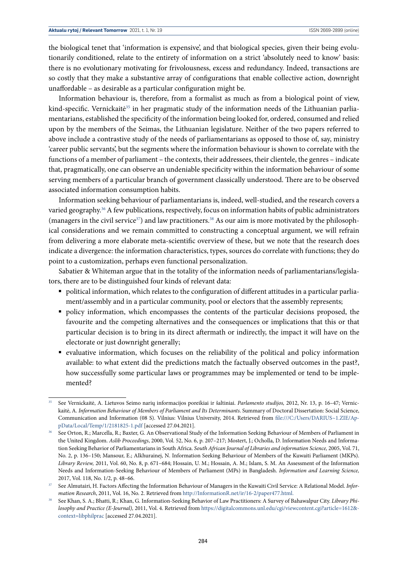the biological tenet that 'information is expensive', and that biological species, given their being evolutionarily conditioned, relate to the entirety of information on a strict 'absolutely need to know' basis: there is no evolutionary motivating for frivolousness, excess and redundancy. Indeed, transactions are so costly that they make a substantive array of configurations that enable collective action, downright unaffordable – as desirable as a particular configuration might be.

Information behaviour is, therefore, from a formalist as much as from a biological point of view, kind-specific. Vernickaitė<sup>35</sup> in her pragmatic study of the information needs of the Lithuanian parliamentarians, established the specificity of the information being looked for, ordered, consumed and relied upon by the members of the Seimas, the Lithuanian legislature. Neither of the two papers referred to above include a contrastive study of the needs of parliamentarians as opposed to those of, say, ministry 'career public servants', but the segments where the information behaviour is shown to correlate with the functions of a member of parliament – the contexts, their addressees, their clientele, the genres – indicate that, pragmatically, one can observe an undeniable specificity within the information behaviour of some serving members of a particular branch of government classically understood. There are to be observed associated information consumption habits.

Information seeking behaviour of parliamentarians is, indeed, well-studied, and the research covers a varied geography.<sup>36</sup> A few publications, respectively, focus on information habits of public administrators (managers in the civil service<sup>37</sup>) and law practitioners.<sup>38</sup> As our aim is more motivated by the philosophical considerations and we remain committed to constructing a conceptual argument, we will refrain from delivering a more elaborate meta-scientific overview of these, but we note that the research does indicate a divergence: the information characteristics, types, sources do correlate with functions; they do point to a customization, perhaps even functional personalization.

Sabatier & Whiteman argue that in the totality of the information needs of parliamentarians/legislators, there are to be distinguished four kinds of relevant data:

- political information, which relates to the configuration of different attitudes in a particular parliament/assembly and in a particular community, pool or electors that the assembly represents;
- § policy information, which encompasses the contents of the particular decisions proposed, the favourite and the competing alternatives and the consequences or implications that this or that particular decision is to bring in its direct aftermath or indirectly, the impact it will have on the electorate or just downright generally;
- evaluative information, which focuses on the reliability of the political and policy information available: to what extent did the predictions match the factually observed outcomes in the past?, how successfully some particular laws or programmes may be implemented or tend to be implemented?

<sup>35</sup> See Vernickaitė, A. Lietuvos Seimo narių informacijos poreikiai ir šaltiniai. *Parlamento studijos,* 2012, Nr. 13, p. 16–47; Vernickaitė, A. *Information Behaviour of Members of Parliament and Its Determinants*. Summary of Doctoral Dissertation: Social Science, Communication and Information (08 S). Vilnius: Vilnius University, 2014. Retrieved from [file:///C:/Users/DARIUS~1.ZIE/Ap](file:///C:/Users/DARIUS~1.ZIE/AppData/Local/Temp/1/2181825-1.pdf)[pData/Local/Temp/1/2181825-1.pdf](file:///C:/Users/DARIUS~1.ZIE/AppData/Local/Temp/1/2181825-1.pdf) [accessed 27.04.2021].

See Orton, R.; Marcella, R.; Baxter, G. An Observational Study of the Information Seeking Behaviour of Members of Parliament in the United Kingdom. *Aslib Proceedings*, 2000, Vol. 52, No. 6, p. 207–217; Mostert, J.; Ocholla, D. Information Needs and Information Seeking Behavior of Parliamentarians in South Africa. *South African Journal of Libraries and information Science,* 2005, Vol. 71, No. 2, p. 136–150; Mansour, E.; Alkhurainej, N. Information Seeking Behaviour of Members of the Kuwaiti Parliament (MKPs). *Library Review,* 2011, Vol. 60, No. 8, p. 671–684; Hossain, U. M.; Hossain, A. M.; Islam, S. M. An Assessment of the Information Needs and Information-Seeking Behaviour of Members of Parliament (MPs) in Bangladesh. *Information and Learning Science,*  2017, Vol. 118, No. 1/2, p. 48–66.

<sup>37</sup> See Almutairi, H. Factors Affecting the Information Behaviour of Managers in the Kuwaiti Civil Service: A Relational Model. *Information Research*, 2011, Vol. 16, No. 2. Retrieved from <http://InformationR.net/ir/16-2/paper477.html.>

<sup>38</sup> See Khan, S. A.; Bhatti, R.; Khan, G. Information-Seeking Behavior of Law Practitioners: A Survey of Bahawalpur City. *Library Philosophy and Practice (E-Journal),* 2011, Vol. 4. Retrieved from [https://digitalcommons.unl.edu/cgi/viewcontent.cgi?article=1612&](https://digitalcommons.unl.edu/cgi/viewcontent.cgi?article=1612&context=libphilprac) [context=libphilprac](https://digitalcommons.unl.edu/cgi/viewcontent.cgi?article=1612&context=libphilprac) [accessed 27.04.2021].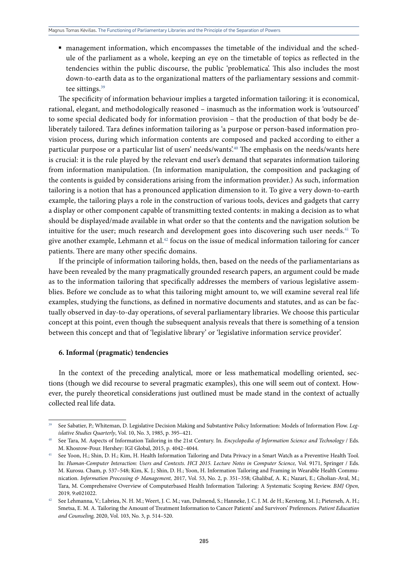§ management information, which encompasses the timetable of the individual and the schedule of the parliament as a whole, keeping an eye on the timetable of topics as reflected in the tendencies within the public discourse, the public 'problematica'. This also includes the most down-to-earth data as to the organizational matters of the parliamentary sessions and committee sittings.<sup>39</sup>

The specificity of information behaviour implies a targeted information tailoring: it is economical, rational, elegant, and methodologically reasoned – inasmuch as the information work is 'outsourced' to some special dedicated body for information provision – that the production of that body be deliberately tailored. Tara defines information tailoring as 'a purpose or person-based information provision process, during which information contents are composed and packed according to either a particular purpose or a particular list of users' needs/wants'.<sup>40</sup> The emphasis on the needs/wants here is crucial: it is the rule played by the relevant end user's demand that separates information tailoring from information manipulation. (In information manipulation, the composition and packaging of the contents is guided by considerations arising from the information provider.) As such, information tailoring is a notion that has a pronounced application dimension to it. To give a very down-to-earth example, the tailoring plays a role in the construction of various tools, devices and gadgets that carry a display or other component capable of transmitting texted contents: in making a decision as to what should be displayed/made available in what order so that the contents and the navigation solution be intuitive for the user; much research and development goes into discovering such user needs.<sup>41</sup> To give another example, Lehmann et al.42 focus on the issue of medical information tailoring for cancer patients. There are many other specific domains.

If the principle of information tailoring holds, then, based on the needs of the parliamentarians as have been revealed by the many pragmatically grounded research papers, an argument could be made as to the information tailoring that specifically addresses the members of various legislative assemblies. Before we conclude as to what this tailoring might amount to, we will examine several real life examples, studying the functions, as defined in normative documents and statutes, and as can be factually observed in day-to-day operations, of several parliamentary libraries. We choose this particular concept at this point, even though the subsequent analysis reveals that there is something of a tension between this concept and that of 'legislative library' or 'legislative information service provider'.

#### **6. Informal (pragmatic) tendencies**

In the context of the preceding analytical, more or less mathematical modelling oriented, sections (though we did recourse to several pragmatic examples), this one will seem out of context. However, the purely theoretical considerations just outlined must be made stand in the context of actually collected real life data.

<sup>39</sup> See Sabatier, P.; Whiteman, D. Legislative Decision Making and Substantive Policy Information: Models of Information Flow. *Legislative Studies Quarterly*, Vol. 10, No. 3, 1985, p. 395–421.

<sup>40</sup> See Tara, M. Aspects of Information Tailoring in the 21st Century. In. *Encyclopedia of Information Science and Technology* / Eds. M. Khosrow-Pour. Hershey: IGI Global, 2015, p. 4042–4044.

<sup>41</sup> See Yoon, H.; Shin, D. H.; Kim, H. Health Information Tailoring and Data Privacy in a Smart Watch as a Preventive Health Tool. In: *Human-Computer Interaction: Users and Contexts. HCI 2015. Lecture Notes in Computer Science,* Vol. 9171, Springer / Eds. M. Kurosu. Cham, p. 537–548; Kim, K. J.; Shin, D. H.; Yoon, H. Information Tailoring and Framing in Wearable Health Communication. *Information Processing & Management,* 2017, Vol. 53, No. 2, p. 351–358; Ghalibaf, A. K.; Nazari, E.; Gholian-Aval, M.; Tara, M. Comprehensive Overview of Computerbased Health Information Tailoring: A Systematic Scoping Review. *BMJ Open,*  2019*,* 9:e021022.

<sup>42</sup> See Lehmanna, V.; Labriea, N. H. M.; Weert, J. C. M.; van, Dulmend, S.; Hanneke, J. C. J. M. de H.; Kersteng, M. J.; Pieterseh, A. H.; Smetsa, E. M. A. Tailoring the Amount of Treatment Information to Cancer Patients' and Survivors' Preferences. *Patient Education and Counseling,* 2020, Vol. 103, No. 3, p. 514–520.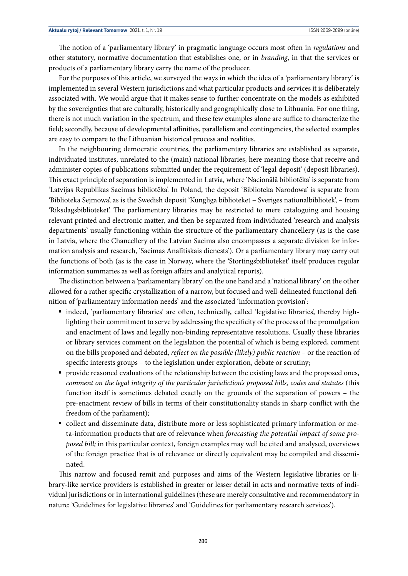The notion of a 'parliamentary library' in pragmatic language occurs most often in *regulations* and other statutory, normative documentation that establishes one, or in *branding*, in that the services or products of a parliamentary library carry the name of the producer.

For the purposes of this article, we surveyed the ways in which the idea of a 'parliamentary library' is implemented in several Western jurisdictions and what particular products and services it is deliberately associated with. We would argue that it makes sense to further concentrate on the models as exhibited by the sovereignties that are culturally, historically and geographically close to Lithuania. For one thing, there is not much variation in the spectrum, and these few examples alone are suffice to characterize the field; secondly, because of developmental affinities, parallelism and contingencies, the selected examples are easy to compare to the Lithuanian historical process and realities.

In the neighbouring democratic countries, the parliamentary libraries are established as separate, individuated institutes, unrelated to the (main) national libraries, here meaning those that receive and administer copies of publications submitted under the requirement of 'legal deposit' (deposit libraries). This exact principle of separation is implemented in Latvia, where 'Nacionālā bibliotēka' is separate from 'Latvijas Republikas Saeimas bibliotēka'. In Poland, the deposit 'Biblioteka Narodowa' is separate from 'Biblioteka Sejmowa', as is the Swedish deposit 'Kungliga biblioteket – Sveriges nationalbibliotek', – from 'Riksdagsbiblioteket'. The parliamentary libraries may be restricted to mere cataloguing and housing relevant printed and electronic matter, and then be separated from individuated 'research and analysis departments' usually functioning within the structure of the parliamentary chancellery (as is the case in Latvia, where the Chancellery of the Latvian Saeima also encompasses a separate division for information analysis and research, 'Saeimas Analītiskais dienests'). Or a parliamentary library may carry out the functions of both (as is the case in Norway, where the 'Stortingsbiblioteket' itself produces regular information summaries as well as foreign affairs and analytical reports).

The distinction between a 'parliamentary library' on the one hand and a 'national library' on the other allowed for a rather specific crystallization of a narrow, but focused and well-delineated functional definition of 'parliamentary information needs' and the associated 'information provision':

- indeed, 'parliamentary libraries' are often, technically, called 'legislative libraries', thereby highlighting their commitment to serve by addressing the specificity of the process of the promulgation and enactment of laws and legally non-binding representative resolutions. Usually these libraries or library services comment on the legislation the potential of which is being explored, comment on the bills proposed and debated, *reflect on the possible (likely) public reaction* – or the reaction of specific interests groups – to the legislation under exploration, debate or scrutiny;
- § provide reasoned evaluations of the relationship between the existing laws and the proposed ones, *comment on the legal integrity of the particular jurisdiction's proposed bills, codes and statutes* (this function itself is sometimes debated exactly on the grounds of the separation of powers – the pre-enactment review of bills in terms of their constitutionality stands in sharp conflict with the freedom of the parliament);
- collect and disseminate data, distribute more or less sophisticated primary information or meta-information products that are of relevance when *forecasting the potential impact of some proposed bill;* in this particular context, foreign examples may well be cited and analysed, overviews of the foreign practice that is of relevance or directly equivalent may be compiled and disseminated.

This narrow and focused remit and purposes and aims of the Western legislative libraries or library-like service providers is established in greater or lesser detail in acts and normative texts of individual jurisdictions or in international guidelines (these are merely consultative and recommendatory in nature: 'Guidelines for legislative libraries' and 'Guidelines for parliamentary research services').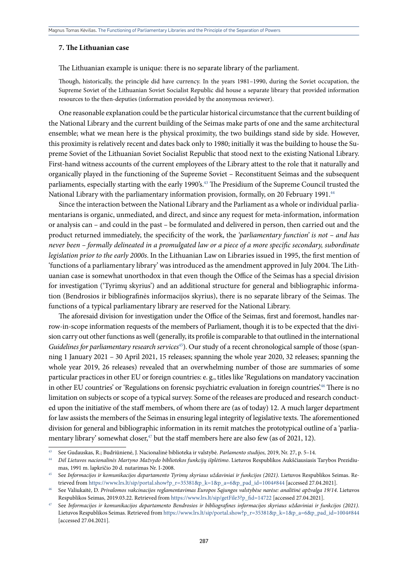#### **7. The Lithuanian case**

The Lithuanian example is unique: there is no separate library of the parliament.

Though, historically, the principle did have currency. In the years 1981–1990, during the Soviet occupation, the Supreme Soviet of the Lithuanian Soviet Socialist Republic did house a separate library that provided information resources to the then-deputies (information provided by the anonymous reviewer).

One reasonable explanation could be the particular historical circumstance that the current building of the National Library and the current building of the Seimas make parts of one and the same architectural ensemble; what we mean here is the physical proximity, the two buildings stand side by side. However, this proximity is relatively recent and dates back only to 1980; initially it was the building to house the Supreme Soviet of the Lithuanian Soviet Socialist Republic that stood next to the existing National Library. First-hand witness accounts of the current employees of the Library attest to the role that it naturally and organically played in the functioning of the Supreme Soviet – Reconstituent Seimas and the subsequent parliaments, especially starting with the early 1990's.<sup>43</sup> The Presidium of the Supreme Council trusted the National Library with the parliamentary information provision, formally, on 20 February 1991.<sup>44</sup>

Since the interaction between the National Library and the Parliament as a whole or individual parliamentarians is organic, unmediated, and direct, and since any request for meta-information, information or analysis can – and could in the past – be formulated and delivered in person, then carried out and the product returned immediately, the specificity of the work, the *'parliamentary function' is not – and has never been – formally delineated in a promulgated law or a piece of a more specific secondary, subordinate legislation prior to the early 2000s*. In the Lithuanian Law on Libraries issued in 1995, the first mention of 'functions of a parliamentary library' was introduced as the amendment approved in July 2004. The Lithuanian case is somewhat unorthodox in that even though the Office of the Seimas has a special division for investigation ('Tyrimų skyrius') and an additional structure for general and bibliographic information (Bendrosios ir bibliografinės informacijos skyrius), there is no separate library of the Seimas. The functions of a typical parliamentary library are reserved for the National Library.

The aforesaid division for investigation under the Office of the Seimas, first and foremost, handles narrow-in-scope information requests of the members of Parliament, though it is to be expected that the division carry out other functions as well (generally, its profile is comparable to that outlined in the international *Guidelines for parliamentary research services*<sup>45</sup>). Our study of a recent chronological sample of those (spanning 1 January 2021 – 30 April 2021, 15 releases; spanning the whole year 2020, 32 releases; spanning the whole year 2019, 26 releases) revealed that an overwhelming number of those are summaries of some particular practices in other EU or foreign countries: e. g., titles like 'Regulations on mandatory vaccination in other EU countries' or 'Regulations on forensic psychiatric evaluation in foreign countries'.46 There is no limitation on subjects or scope of a typical survey. Some of the releases are produced and research conducted upon the initiative of the staff members, of whom there are (as of today) 12. A much larger department for law assists the members of the Seimas in ensuring legal integrity of legislative texts. The aforementioned division for general and bibliographic information in its remit matches the prototypical outline of a 'parliamentary library' somewhat closer,<sup>47</sup> but the staff members here are also few (as of 2021, 12).

<sup>&</sup>lt;sup>43</sup> See Gudauskas, R.; Budriūnienė, J. Nacionalinė biblioteka ir valstybė. Parlamento studijos, 2019, Nr. 27, p. 5–14.<br><sup>44</sup> Dėl Lietuvos nacionalinės Martyno Mažvydo bibliotekos funkcijų išplėtimo. Lietuvos Respublikos Au mas, 1991 m. lapkričio 20 d. nutarimas Nr. I-2008. 45 See *Informacijos ir komunikacijos departamento Tyrimų skyriaus uždaviniai ir funkcijos (2021)*. Lietuvos Respublikos Seimas. Re-

trieved from [https://www.lrs.lt/sip/portal.show?p\\_r=35381&p\\_k=1&p\\_a=6&p\\_pad\\_id=1004#844](https://www.lrs.lt/sip/portal.show?p_r=35381&p_k=1&p_a=6&p_pad_id=1004#844) [accessed 27.04.2021].

<sup>46</sup> See Valiukaitė, D. *Privalomos vakcinacijos reglamentavimas Europos Sąjungos valstybėse narėse: analitinė apžvalga 19/14*. Lietuvos Respublikos Seimas, 2019.03.22. Retrieved from [https://www.lrs.lt/sip/getFile3?p\\_fid=14722](https://www.lrs.lt/sip/getFile3?p_fid=14722) [accessed 27.04.2021].

<sup>47</sup> See *Informacijos ir komunikacijos departamento Bendrosios ir bibliografines informacijos skyriaus uždaviniai ir funkcijos (2021)*. Lietuvos Respublikos Seimas. Retrieved from [https://www.lrs.lt/sip/portal.show?p\\_r=35381&p\\_k=1&p\\_a=6&p\\_pad\\_id=1004#844](https://www.lrs.lt/sip/portal.show?p_r=35381&p_k=1&p_a=6&p_pad_id=1004#844) [accessed 27.04.2021].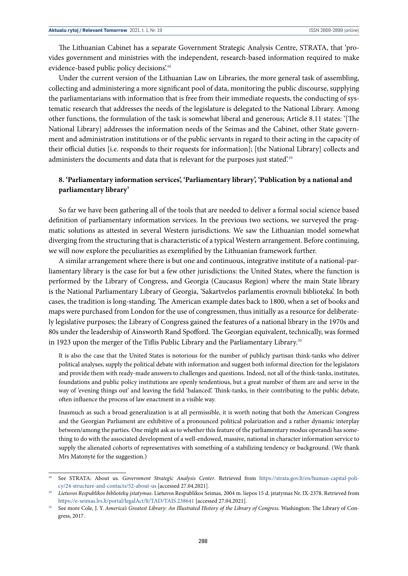The Lithuanian Cabinet has a separate Government Strategic Analysis Centre, STRATA, that 'provides government and ministries with the independent, research-based information required to make evidence-based public policy decisions.<sup>48</sup>

Under the current version of the Lithuanian Law on Libraries, the more general task of assembling, collecting and administering a more significant pool of data, monitoring the public discourse, supplying the parliamentarians with information that is free from their immediate requests, the conducting of systematic research that addresses the needs of the legislature is delegated to the National Library. Among other functions, the formulation of the task is somewhat liberal and generous; Article 8.11 states: '[The National Library] addresses the information needs of the Seimas and the Cabinet, other State government and administration institutions or of the public servants in regard to their acting in the capacity of their official duties [i.e. responds to their requests for information]; [the National Library] collects and administers the documents and data that is relevant for the purposes just stated.<sup>49</sup>

## **8. 'Parliamentary information services', 'Parliamentary library', 'Publication by a national and parliamentary library'**

So far we have been gathering all of the tools that are needed to deliver a formal social science based definition of parliamentary information services. In the previous two sections, we surveyed the pragmatic solutions as attested in several Western jurisdictions. We saw the Lithuanian model somewhat diverging from the structuring that is characteristic of a typical Western arrangement. Before continuing, we will now explore the peculiarities as exemplified by the Lithuanian framework further.

A similar arrangement where there is but one and continuous, integrative institute of a national-parliamentary library is the case for but a few other jurisdictions: the United States, where the function is performed by the Library of Congress, and Georgia (Caucasus Region) where the main State library is the National Parliamentary Library of Georgia, 'Sakartvelos parlamentis erovnuli biblioteka'. In both cases, the tradition is long-standing. The American example dates back to 1800, when a set of books and maps were purchased from London for the use of congressmen, thus initially as a resource for deliberately legislative purposes; the Library of Congress gained the features of a national library in the 1970s and 80s under the leadership of Ainsworth Rand Spofford. The Georgian equivalent, technically, was formed in 1923 upon the merger of the Tiflis Public Library and the Parliamentary Library.<sup>50</sup>

It is also the case that the United States is notorious for the number of publicly partisan think-tanks who deliver political analyses, supply the political debate with information and suggest both informal direction for the legislators and provide them with ready-made answers to challenges and questions. Indeed, not all of the think-tanks, institutes, foundations and public policy institutions are openly tendentious, but a great number of them are and serve in the way of 'evening things out' and leaving the field 'balanced'. Think-tanks, in their contributing to the public debate, often influence the process of law enactment in a visible way.

Inasmuch as such a broad generalization is at all permissible, it is worth noting that both the American Congress and the Georgian Parliament are exhibitive of a pronounced political polarization and a rather dynamic interplay between/among the parties. One might ask as to whether this feature of the parliamentary modus operandi has something to do with the associated development of a well-endowed, massive, national in character information service to supply the alienated cohorts of representatives with something of a stabilizing tendency or background. (We thank Mrs Matonytė for the suggestion.)

<sup>48</sup> See STRATA: About us. *Government Strategic Analysis Center*. Retrieved from [https://strata.gov.lt/en/human-capital-poli](https://strata.gov.lt/en/human-capital-policy/24-structure-and-contacts/52-about-us)[cy/24-structure-and-contacts/52-about-us](https://strata.gov.lt/en/human-capital-policy/24-structure-and-contacts/52-about-us) [accessed 27.04.2021].

<sup>49</sup> *Lietuvos Respublikos bibliotekų įstatymas*. Lietuvos Respublikos Seimas*,* 2004 m. liepos 15 d. įstatymas Nr. IX-2378. Retrieved from <https://e-seimas.lrs.lt/portal/legalAct/lt/TAD/TAIS.238641> [accessed 27.04.2021].

<sup>50</sup> See more Cole, J. Y. *America's Greatest Library: An Illustrated History of the Library of Congress.* Washington: The Library of Congress, 2017.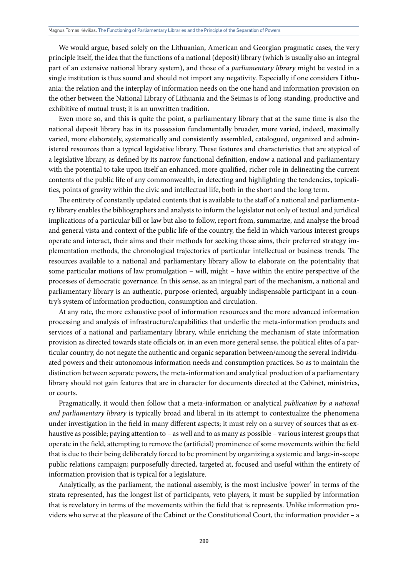We would argue, based solely on the Lithuanian, American and Georgian pragmatic cases, the very principle itself, the idea that the functions of a national (deposit) library (which is usually also an integral part of an extensive national library system), and those of a *parliamentary library* might be vested in a single institution is thus sound and should not import any negativity. Especially if one considers Lithuania: the relation and the interplay of information needs on the one hand and information provision on the other between the National Library of Lithuania and the Seimas is of long-standing, productive and exhibitive of mutual trust; it is an unwritten tradition.

Even more so, and this is quite the point, a parliamentary library that at the same time is also the national deposit library has in its possession fundamentally broader, more varied, indeed, maximally varied, more elaborately, systematically and consistently assembled, catalogued, organized and administered resources than a typical legislative library. These features and characteristics that are atypical of a legislative library, as defined by its narrow functional definition, endow a national and parliamentary with the potential to take upon itself an enhanced, more qualified, richer role in delineating the current contents of the public life of any commonwealth, in detecting and highlighting the tendencies, topicalities, points of gravity within the civic and intellectual life, both in the short and the long term.

The entirety of constantly updated contents that is available to the staff of a national and parliamentary library enables the bibliographers and analysts to inform the legislator not only of textual and juridical implications of a particular bill or law but also to follow, report from, summarize, and analyse the broad and general vista and context of the public life of the country, the field in which various interest groups operate and interact, their aims and their methods for seeking those aims, their preferred strategy implementation methods, the chronological trajectories of particular intellectual or business trends. The resources available to a national and parliamentary library allow to elaborate on the potentiality that some particular motions of law promulgation – will, might – have within the entire perspective of the processes of democratic governance. In this sense, as an integral part of the mechanism, a national and parliamentary library is an authentic, purpose-oriented, arguably indispensable participant in a country's system of information production, consumption and circulation.

At any rate, the more exhaustive pool of information resources and the more advanced information processing and analysis of infrastructure/capabilities that underlie the meta-information products and services of a national and parliamentary library, while enriching the mechanism of state information provision as directed towards state officials or, in an even more general sense, the political elites of a particular country, do not negate the authentic and organic separation between/among the several individuated powers and their autonomous information needs and consumption practices. So as to maintain the distinction between separate powers, the meta-information and analytical production of a parliamentary library should not gain features that are in character for documents directed at the Cabinet, ministries, or courts.

Pragmatically, it would then follow that a meta-information or analytical *publication by a national and parliamentary library* is typically broad and liberal in its attempt to contextualize the phenomena under investigation in the field in many different aspects; it must rely on a survey of sources that as exhaustive as possible; paying attention to – as well and to as many as possible – various interest groups that operate in the field, attempting to remove the (artificial) prominence of some movements within the field that is due to their being deliberately forced to be prominent by organizing a systemic and large-in-scope public relations campaign; purposefully directed, targeted at, focused and useful within the entirety of information provision that is typical for a legislature.

Analytically, as the parliament, the national assembly, is the most inclusive 'power' in terms of the strata represented, has the longest list of participants, veto players, it must be supplied by information that is revelatory in terms of the movements within the field that is represents. Unlike information providers who serve at the pleasure of the Cabinet or the Constitutional Court, the information provider – a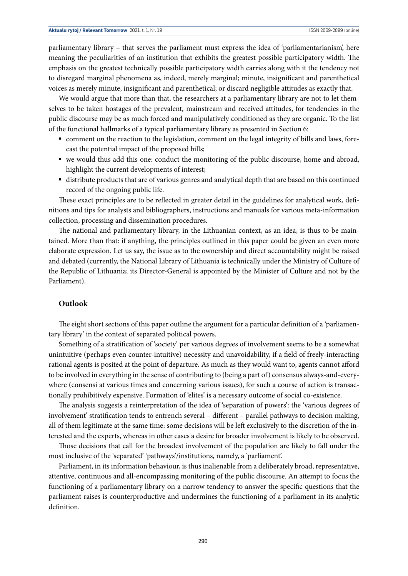parliamentary library – that serves the parliament must express the idea of 'parliamentarianism', here meaning the peculiarities of an institution that exhibits the greatest possible participatory width. The emphasis on the greatest technically possible participatory width carries along with it the tendency not to disregard marginal phenomena as, indeed, merely marginal; minute, insignificant and parenthetical voices as merely minute, insignificant and parenthetical; or discard negligible attitudes as exactly that.

We would argue that more than that, the researchers at a parliamentary library are not to let themselves to be taken hostages of the prevalent, mainstream and received attitudes, for tendencies in the public discourse may be as much forced and manipulatively conditioned as they are organic. To the list of the functional hallmarks of a typical parliamentary library as presented in Section 6:

- § comment on the reaction to the legislation, comment on the legal integrity of bills and laws, forecast the potential impact of the proposed bills;
- § we would thus add this one: conduct the monitoring of the public discourse, home and abroad, highlight the current developments of interest;
- distribute products that are of various genres and analytical depth that are based on this continued record of the ongoing public life.

These exact principles are to be reflected in greater detail in the guidelines for analytical work, definitions and tips for analysts and bibliographers, instructions and manuals for various meta-information collection, processing and dissemination procedures.

The national and parliamentary library, in the Lithuanian context, as an idea, is thus to be maintained. More than that: if anything, the principles outlined in this paper could be given an even more elaborate expression. Let us say, the issue as to the ownership and direct accountability might be raised and debated (currently, the National Library of Lithuania is technically under the Ministry of Culture of the Republic of Lithuania; its Director-General is appointed by the Minister of Culture and not by the Parliament).

#### **Outlook**

The eight short sections of this paper outline the argument for a particular definition of a 'parliamentary library' in the context of separated political powers.

Something of a stratification of 'society' per various degrees of involvement seems to be a somewhat unintuitive (perhaps even counter-intuitive) necessity and unavoidability, if a field of freely-interacting rational agents is posited at the point of departure. As much as they would want to, agents cannot afford to be involved in everything in the sense of contributing to (being a part of) consensus always-and-everywhere (consensi at various times and concerning various issues), for such a course of action is transactionally prohibitively expensive. Formation of 'elites' is a necessary outcome of social co-existence.

The analysis suggests a reinterpretation of the idea of 'separation of powers': the 'various degrees of involvement' stratification tends to entrench several – different – parallel pathways to decision making, all of them legitimate at the same time: some decisions will be left exclusively to the discretion of the interested and the experts, whereas in other cases a desire for broader involvement is likely to be observed.

Those decisions that call for the broadest involvement of the population are likely to fall under the most inclusive of the 'separated' 'pathways'/institutions, namely, a 'parliament'.

Parliament, in its information behaviour, is thus inalienable from a deliberately broad, representative, attentive, continuous and all-encompassing monitoring of the public discourse. An attempt to focus the functioning of a parliamentary library on a narrow tendency to answer the specific questions that the parliament raises is counterproductive and undermines the functioning of a parliament in its analytic definition.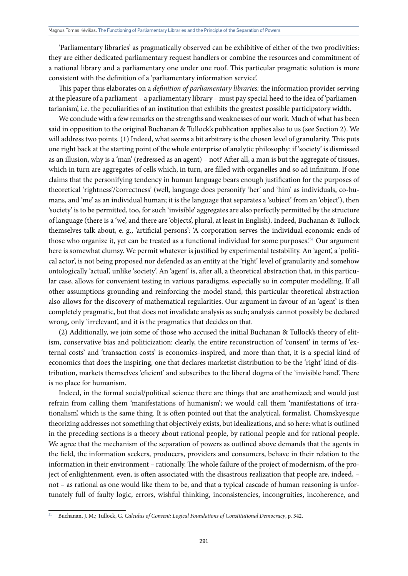'Parliamentary libraries' as pragmatically observed can be exhibitive of either of the two proclivities: they are either dedicated parliamentary request handlers or combine the resources and commitment of a national library and a parliamentary one under one roof. This particular pragmatic solution is more consistent with the definition of a 'parliamentary information service'.

This paper thus elaborates on a *definition of parliamentary libraries:* the information provider serving at the pleasure of a parliament – a parliamentary library – must pay special heed to the idea of 'parliamentarianism', i.e. the peculiarities of an institution that exhibits the greatest possible participatory width.

We conclude with a few remarks on the strengths and weaknesses of our work. Much of what has been said in opposition to the original Buchanan & Tullock's publication applies also to us (see Section 2). We will address two points. (1) Indeed, what seems a bit arbitrary is the chosen level of granularity. This puts one right back at the starting point of the whole enterprise of analytic philosophy: if 'society' is dismissed as an illusion, why is a 'man' (redressed as an agent) – not? After all, a man is but the aggregate of tissues, which in turn are aggregates of cells which, in turn, are filled with organelles and so ad infinitum. If one claims that the personifying tendency in human language bears enough justification for the purposes of theoretical 'rightness'/'correctness' (well, language does personify 'her' and 'him' as individuals, co-humans, and 'me' as an individual human; it is the language that separates a 'subject' from an 'object'), then 'society' is to be permitted, too, for such 'invisible' aggregates are also perfectly permitted by the structure of language (there is a 'we', and there are 'objects', plural, at least in English). Indeed, Buchanan & Tullock themselves talk about, e. g., 'artificial persons': 'A corporation serves the individual economic ends of those who organize it, yet can be treated as a functional individual for some purposes.<sup>'51</sup> Our argument here is somewhat clumsy. We permit whatever is justified by experimental testability. An 'agent', a 'political actor', is not being proposed nor defended as an entity at the 'right' level of granularity and somehow ontologically 'actual', unlike 'society'. An 'agent' is, after all, a theoretical abstraction that, in this particular case, allows for convenient testing in various paradigms, especially so in computer modelling. If all other assumptions grounding and reinforcing the model stand, this particular theoretical abstraction also allows for the discovery of mathematical regularities. Our argument in favour of an 'agent' is then completely pragmatic, but that does not invalidate analysis as such; analysis cannot possibly be declared wrong, only 'irrelevant', and it is the pragmatics that decides on that.

(2) Additionally, we join some of those who accused the initial Buchanan & Tullock's theory of elitism, conservative bias and politicization: clearly, the entire reconstruction of 'consent' in terms of 'external costs' and 'transaction costs' is economics-inspired, and more than that, it is a special kind of economics that does the inspiring, one that declares marketist distribution to be the 'right' kind of distribution, markets themselves 'eficient' and subscribes to the liberal dogma of the 'invisible hand'. There is no place for humanism.

Indeed, in the formal social/political science there are things that are anathemized; and would just refrain from calling them 'manifestations of humanism'; we would call them 'manifestations of irrationalism', which is the same thing. It is often pointed out that the analytical, formalist, Chomskyesque theorizing addresses not something that objectively exists, but idealizations, and so here: what is outlined in the preceding sections is a theory about rational people, by rational people and for rational people. We agree that the mechanism of the separation of powers as outlined above demands that the agents in the field, the information seekers, producers, providers and consumers, behave in their relation to the information in their environment – rationally. The whole failure of the project of modernism, of the project of enlightenment, even, is often associated with the disastrous realization that people are, indeed, – not – as rational as one would like them to be, and that a typical cascade of human reasoning is unfortunately full of faulty logic, errors, wishful thinking, inconsistencies, incongruities, incoherence, and

<sup>51</sup> Buchanan, J. M.; Tullock, G. *Calculus of Consent: Logical Foundations of Constitutional Democracy*, p. 342.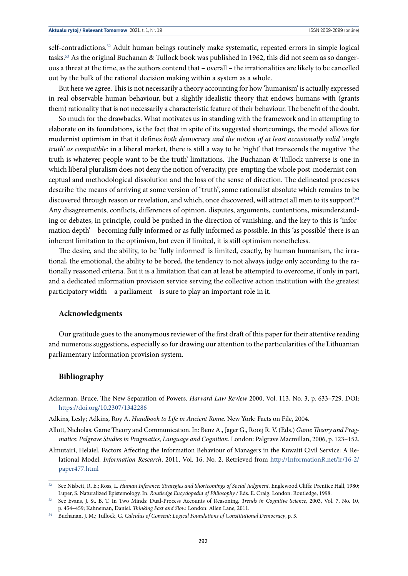self-contradictions.<sup>52</sup> Adult human beings routinely make systematic, repeated errors in simple logical tasks.53 As the original Buchanan & Tullock book was published in 1962, this did not seem as so dangerous a threat at the time, as the authors contend that – overall – the irrationalities are likely to be cancelled out by the bulk of the rational decision making within a system as a whole.

But here we agree. This is not necessarily a theory accounting for how 'humanism' is actually expressed in real observable human behaviour, but a slightly idealistic theory that endows humans with (grants them) rationality that is not necessarily a characteristic feature of their behaviour. The benefit of the doubt.

So much for the drawbacks. What motivates us in standing with the framework and in attempting to elaborate on its foundations, is the fact that in spite of its suggested shortcomings, the model allows for modernist optimism in that it defines *both democracy and the notion of at least occasionally valid 'single truth' as compatible:* in a liberal market, there is still a way to be 'right' that transcends the negative 'the truth is whatever people want to be the truth' limitations. The Buchanan & Tullock universe is one in which liberal pluralism does not deny the notion of veracity, pre-empting the whole post-modernist conceptual and methodological dissolution and the loss of the sense of direction. The delineated processes describe 'the means of arriving at some version of "truth", some rationalist absolute which remains to be discovered through reason or revelation, and which, once discovered, will attract all men to its support.<sup>54</sup> Any disagreements, conflicts, differences of opinion, disputes, arguments, contentions, misunderstanding or debates, in principle, could be pushed in the direction of vanishing, and the key to this is 'information depth' – becoming fully informed or as fully informed as possible. In this 'as possible' there is an inherent limitation to the optimism, but even if limited, it is still optimism nonetheless.

The desire, and the ability, to be 'fully informed' is limited, exactly, by human humanism, the irrational, the emotional, the ability to be bored, the tendency to not always judge only according to the rationally reasoned criteria. But it is a limitation that can at least be attempted to overcome, if only in part, and a dedicated information provision service serving the collective action institution with the greatest participatory width – a parliament – is sure to play an important role in it.

#### **Acknowledgments**

Our gratitude goes to the anonymous reviewer of the first draft of this paper for their attentive reading and numerous suggestions, especially so for drawing our attention to the particularities of the Lithuanian parliamentary information provision system.

#### **Bibliography**

- Ackerman, Bruce. The New Separation of Powers. *Harvard Law Review* 2000, Vol. 113, No. 3, p. 633–729. DOI: <https://doi.org/10.2307/1342286>
- Adkins, Lesly; Adkins, Roy A. *Handbook to Life in Ancient Rome.* New York: Facts on File, 2004.
- Allott, Nicholas. Game Theory and Communication. In: Benz A., Jager G., Rooij R. V. (Eds.) *Game Theory and Pragmatics: Palgrave Studies in Pragmatics, Language and Cognition.* London: Palgrave Macmillan, 2006, p. 123–152.
- Almutairi, Helaiel. Factors Affecting the Information Behaviour of Managers in the Kuwaiti Civil Service: A Relational Model. *Information Research*, 2011, Vol. 16, No. 2. Retrieved from [http://InformationR.net/ir/16-2/](http://InformationR.net/ir/16-2/paper477.html) [paper477.html](http://InformationR.net/ir/16-2/paper477.html)

<sup>52</sup> See Nisbett, R. E.; Ross, L. *Human Inference: Strategies and Shortcomings of Social Judgment.* Englewood Cliffs: Prentice Hall, 1980; Luper, S. Naturalized Epistemology. In. *Routledge Encyclopedia of Philosophy /* Eds. E. Craig. London: Routledge, 1998.

<sup>53</sup> See Evans, J. St. B. T. In Two Minds: Dual-Process Accounts of Reasoning. *Trends in Cognitive Science,* 2003, Vol. 7, No. 10, p. 454–459; Kahneman, Daniel. *Thinking Fast and Slow.* London: Allen Lane, 2011.

<sup>54</sup> Buchanan, J. M.; Tullock, G. *Calculus of Consent: Logical Foundations of Constitutional Democracy*, p. 3.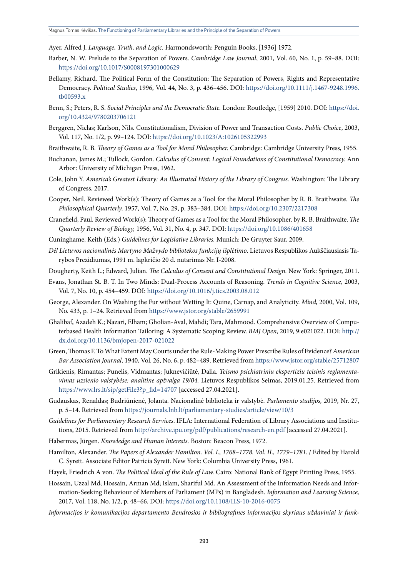Ayer, Alfred J. *Language, Truth, and Logic.* Harmondsworth: Penguin Books, [1936] 1972.

- Barber, N. W. Prelude to the Separation of Powers. *Cambridge Law Journal*, 2001, Vol. 60, No. 1, p. 59–88. DOI: <https://doi.org/10.1017/S0008197301000629>
- Bellamy, Richard. The Political Form of the Constitution: The Separation of Powers, Rights and Representative Democracy. *Political Studies*, 1996, Vol. 44, No. 3, p. 436–456. DOI: [https://doi.org/10.1111/j.1467-9248.1996.](https://doi.org/10.1111/j.1467-9248.1996.tb00593.x) [tb00593.x](https://doi.org/10.1111/j.1467-9248.1996.tb00593.x)
- Benn, S.; Peters, R. S. *Social Principles and the Democratic State.* London: Routledge, [1959] 2010. DOI: [https://doi.](https://doi.org/10.4324/9780203706121) [org/10.4324/9780203706121](https://doi.org/10.4324/9780203706121)
- Berggren, Niclas; Karlson, Nils. Constitutionalism, Division of Power and Transaction Costs. *Public Choice*, 2003, Vol. 117, No. 1/2, p. 99–124. DOI: <https://doi.org/10.1023/A:1026105322993>
- Braithwaite, R. B. *Theory of Games as a Tool for Moral Philosopher.* Cambridge: Cambridge University Press, 1955.
- Buchanan, James M.; Tullock, Gordon. *Calculus of Consent: Logical Foundations of Constitutional Democracy.* Ann Arbor: University of Michigan Press, 1962.
- Cole, John Y. *America's Greatest Library: An Illustrated History of the Library of Congress.* Washington: The Library of Congress, 2017.
- Cooper, Neil. Reviewed Work(s): Theory of Games as a Tool for the Moral Philosopher by R. B. Braithwaite. *The Philosophical Quarterly,* 1957, Vol. 7, No. 29, p. 383–384. DOI: <https://doi.org/10.2307/2217308>
- Cranefield, Paul. Reviewed Work(s): Theory of Games as a Tool for the Moral Philosopher. by R. B. Braithwaite. *The Quarterly Review of Biology,* 1956, Vol. 31, No. 4, p. 347. DOI: [https://doi.org/10.1086/401658](https://doi.org/10.1086/401658 )
- Cuninghame, Keith (Eds.) *Guidelines for Legislative Libraries.* Munich: De Gruyter Saur, 2009.
- *Dėl Lietuvos nacionalinės Martyno Mažvydo bibliotekos funkcijų išplėtimo*. Lietuvos Respublikos Aukščiausiasis Tarybos Prezidiumas, 1991 m. lapkričio 20 d. nutarimas Nr. I-2008.
- Dougherty, Keith L.; Edward, Julian. *The Calculus of Consent and Constitutional Design.* New York: Springer, 2011.
- Evans, Jonathan St. B. T. In Two Minds: Dual-Process Accounts of Reasoning. *Trends in Cognitive Science,* 2003, Vol. 7, No. 10, p. 454–459. DOI: <https://doi.org/10.1016/j.tics.2003.08.012>
- George, Alexander. On Washing the Fur without Wetting It: Quine, Carnap, and Analyticity. *Mind,* 2000, Vol. 109, No. 433, p. 1–24. Retrieved from <https://www.jstor.org/stable/2659991>
- Ghalibaf, Azadeh K.; Nazari, Elham; Gholian-Aval, Mahdi; Tara, Mahmood. Comprehensive Overview of Computerbased Health Information Tailoring: A Systematic Scoping Review. *BMJ Open,* 2019*,* 9:e021022. DOI: [http://](http://dx.doi.org/10.1136/bmjopen-2017-021022) [dx.doi.org/10.1136/bmjopen-2017-021022](http://dx.doi.org/10.1136/bmjopen-2017-021022)
- Green, Thomas F. To What Extent May Courts under the Rule-Making Power Prescribe Rules of Evidence? *American Bar Association Journal,* 1940, Vol. 26, No. 6, p. 482–489. Retrieved from <https://www.jstor.org/stable/25712807>
- Grikienis, Rimantas; Punelis, Vidmantas; Juknevičiūtė, Dalia. *Teismo psichiatriniu ekspertiziu teisinis reglamentavimas uzsienio valstybėse: analitine apžvalga 19/04.* Lietuvos Respublikos Seimas, 2019.01.25. Retrieved from [https://www.lrs.lt/sip/getFile3?p\\_fid=14707](https://www.lrs.lt/sip/getFile3?p_fid=14707) [accessed 27.04.2021].
- Gudauskas, Renaldas; Budriūnienė, Jolanta. Nacionalinė biblioteka ir valstybė. *Parlamento studijos,* 2019, Nr. 27, p. 5–14. Retrieved from<https://journals.lnb.lt/parliamentary-studies/article/view/10/3>
- *Guidelines for Parliamentary Research Services*. IFLA: International Federation of Library Associations and Institutions, 2015. Retrieved from <http://archive.ipu.org/pdf/publications/research-en.pdf> [accessed 27.04.2021].
- Habermas, Jürgen. *Knowledge and Human Interests.* Boston: Beacon Press, 1972.
- Hamilton, Alexander. *The Papers of Alexander Hamilton. Vol. I., 1768–1778. Vol. II., 1779–1781.* / Edited by Harold C. Syrett. Associate Editor Patricia Syrett. New York: Columbia University Press, 1961.
- Hayek, Friedrich A von. *The Political Ideal of the Rule of Law.* Cairo: National Bank of Egypt Printing Press, 1955.
- Hossain, Uzzal Md; Hossain, Arman Md; Islam, Shariful Md. An Assessment of the Information Needs and Information-Seeking Behaviour of Members of Parliament (MPs) in Bangladesh. *Information and Learning Science,*  2017, Vol. 118, No. 1/2, p. 48–66. DOI: <https://doi.org/10.1108/ILS-10-2016-0075>
- *Informacijos ir komunikacijos departamento Bendrosios ir bibliografines informacijos skyriaus uždaviniai ir funk-*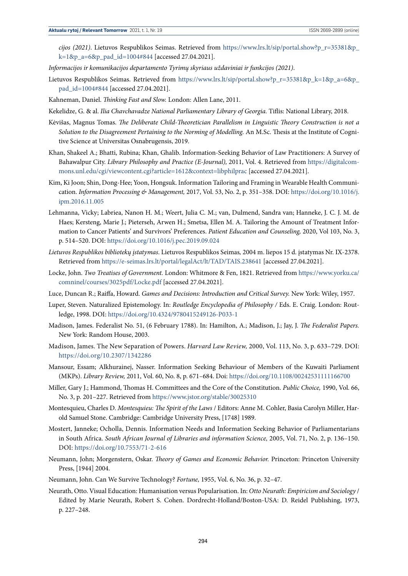*cijos (2021)*. Lietuvos Respublikos Seimas. Retrieved from [https://www.lrs.lt/sip/portal.show?p\\_r=35381&p\\_](https://www.lrs.lt/sip/portal.show?p_r=35381&p_k=1&p_a=6&p_pad_id=1004#844) [k=1&p\\_a=6&p\\_pad\\_id=1004#844](https://www.lrs.lt/sip/portal.show?p_r=35381&p_k=1&p_a=6&p_pad_id=1004#844) [accessed 27.04.2021].

- *Informacijos ir komunikacijos departamento Tyrimų skyriaus uždaviniai ir funkcijos (2021)*.
- Lietuvos Respublikos Seimas. Retrieved from [https://www.lrs.lt/sip/portal.show?p\\_r=35381&p\\_k=1&p\\_a=6&p\\_](https://www.lrs.lt/sip/portal.show?p_r=35381&p_k=1&p_a=6&p_pad_id=1004#844) [pad\\_id=1004#844](https://www.lrs.lt/sip/portal.show?p_r=35381&p_k=1&p_a=6&p_pad_id=1004#844) [accessed 27.04.2021].
- Kahneman, Daniel. *Thinking Fast and Slow.* London: Allen Lane, 2011.
- Kekelidze, G. & al. *Ilia Chavchavadze National Parliamentary Library of Georgia.* Tiflis: National Library, 2018.
- Kėvišas, Magnus Tomas. *The Deliberate Child-Theoretician Parallelism in Linguistic Theory Construction is not a Solution to the Disagreement Pertaining to the Norming of Modelling.* An M.Sc. Thesis at the Institute of Cognitive Science at Universitas Osnabrugensis, 2019.
- Khan, Shakeel A.; Bhatti, Rubina; Khan, Ghalib. Information-Seeking Behavior of Law Practitioners: A Survey of Bahawalpur City. *Library Philosophy and Practice (E-Journal),* 2011, Vol. 4. Retrieved from [https://digitalcom](https://digitalcommons.unl.edu/cgi/viewcontent.cgi?article=1612&context=libphilprac)[mons.unl.edu/cgi/viewcontent.cgi?article=1612&context=libphilprac](https://digitalcommons.unl.edu/cgi/viewcontent.cgi?article=1612&context=libphilprac) [accessed 27.04.2021].
- Kim, Ki Joon; Shin, Dong-Hee; Yoon, Hongsuk. Information Tailoring and Framing in Wearable Health Communication. *Information Processing & Management,* 2017, Vol. 53, No. 2, p. 351–358. DOI: [https://doi.org/10.1016/j.](https://doi.org/10.1016/j.ipm.2016.11.005) [ipm.2016.11.005](https://doi.org/10.1016/j.ipm.2016.11.005)
- Lehmanna, Vicky; Labriea, Nanon H. M.; Weert, Julia C. M.; van, Dulmend, Sandra van; Hanneke, J. C. J. M. de Haes; Kersteng, Marie J.; Pieterseh, Arwen H.; Smetsa, Ellen M. A. Tailoring the Amount of Treatment Information to Cancer Patients' and Survivors' Preferences. *Patient Education and Counseling,* 2020, Vol 103, No. 3, p. 514–520. DOI: <https://doi.org/10.1016/j.pec.2019.09.024>
- *Lietuvos Respublikos bibliotekų įstatymas*. Lietuvos Respublikos Seimas*,* 2004 m. liepos 15 d. įstatymas Nr. IX-2378. Retrieved from<https://e-seimas.lrs.lt/portal/legalAct/lt/TAD/TAIS.238641> [accessed 27.04.2021].
- Locke, John. *Two Treatises of Government.* London: Whitmore & Fen, 1821. Retrieved from [https://www.yorku.ca/](https://www.yorku.ca/comninel/courses/3025pdf/Locke.pdf) [comninel/courses/3025pdf/Locke.pdf](https://www.yorku.ca/comninel/courses/3025pdf/Locke.pdf) [accessed 27.04.2021].
- Luce, Duncan R.; Raiffa, Howard. *Games and Decisions: Introduction and Critical Survey.* New York: Wiley, 1957.
- Luper, Steven. Naturalized Epistemology. In: *Routledge Encyclopedia of Philosophy /* Eds. E. Craig. London: Routledge, 1998. DOI: <https://doi.org/10.4324/9780415249126-P033-1>
- Madison, James. Federalist No. 51, (6 February 1788). In: Hamilton, A.; Madison, J.; Jay, J. *The Federalist Papers.*  New York: Random House, 2003.
- Madison, James. The New Separation of Powers. *Harvard Law Review,* 2000, Vol. 113, No. 3, p. 633–729. DOI: <https://doi.org/10.2307/1342286>
- Mansour, Essam; Alkhurainej, Nasser. Information Seeking Behaviour of Members of the Kuwaiti Parliament (MKPs). *Library Review,* 2011, Vol. 60, No. 8, p. 671–684. Doi: <https://doi.org/10.1108/00242531111166700>
- Miller, Gary J.; Hammond, Thomas H. Committees and the Core of the Constitution. *Public Choice,* 1990, Vol. 66, No. 3, p. 201–227. Retrieved from<https://www.jstor.org/stable/30025310>
- Montesquieu, Charles D. *Montesquieu: The Spirit of the Laws* / Editors: Anne M. Cohler, Basia Carolyn Miller, Harold Samuel Stone. Cambridge: Cambridge University Press, [1748] 1989.
- Mostert, Janneke; Ocholla, Dennis. Information Needs and Information Seeking Behavior of Parliamentarians in South Africa. *South African Journal of Libraries and information Science,* 2005, Vol. 71, No. 2, p. 136–150. DOI: <https://doi.org/10.7553/71-2-616>
- Neumann, John; Morgenstern, Oskar. *Theory of Games and Economic Behavior.* Princeton: Princeton University Press, [1944] 2004.
- Neumann, John. Can We Survive Technology? *Fortune,* 1955, Vol. 6, No. 36, p. 32–47.
- Neurath, Otto. Visual Education: Humanisation versus Popularisation. In: *Otto Neurath: Empiricism and Sociology* / Edited by Marie Neurath, Robert S. Cohen. Dordrecht-Holland/Boston-USA: D. Reidel Publishing, 1973, p. 227–248.